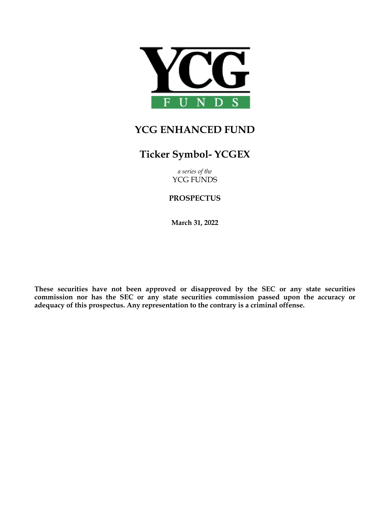

# **YCG ENHANCED FUND**

# **Ticker Symbol- YCGEX**

*a series of the* YCG FUNDS

# **PROSPECTUS**

**March 31, 2022**

**These securities have not been approved or disapproved by the SEC or any state securities commission nor has the SEC or any state securities commission passed upon the accuracy or adequacy of this prospectus. Any representation to the contrary is a criminal offense.**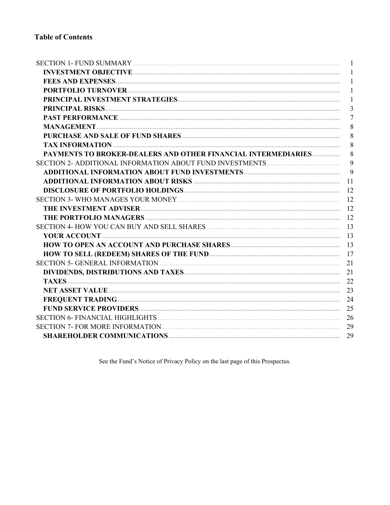|                                                                 | $\overline{1}$ |
|-----------------------------------------------------------------|----------------|
|                                                                 | $\mathbf{1}$   |
|                                                                 | $\mathbf{1}$   |
|                                                                 | $\mathbf{1}$   |
|                                                                 | $\overline{3}$ |
|                                                                 | $\overline{7}$ |
|                                                                 | 8              |
|                                                                 | 8              |
|                                                                 | 8              |
| PAYMENTS TO BROKER-DEALERS AND OTHER FINANCIAL INTERMEDIARIES   | 8              |
|                                                                 | 9              |
|                                                                 | 9              |
|                                                                 |                |
|                                                                 |                |
|                                                                 |                |
|                                                                 |                |
|                                                                 |                |
| SECTION 4- HOW YOU CAN BUY AND SELL SHARES <b>CONSERVERS</b> 13 |                |
|                                                                 |                |
|                                                                 |                |
|                                                                 |                |
|                                                                 |                |
|                                                                 |                |
|                                                                 |                |
|                                                                 |                |
|                                                                 |                |
|                                                                 |                |
|                                                                 |                |
|                                                                 |                |
|                                                                 |                |

See the Fund's Notice of Privacy Policy on the last page of this Prospectus.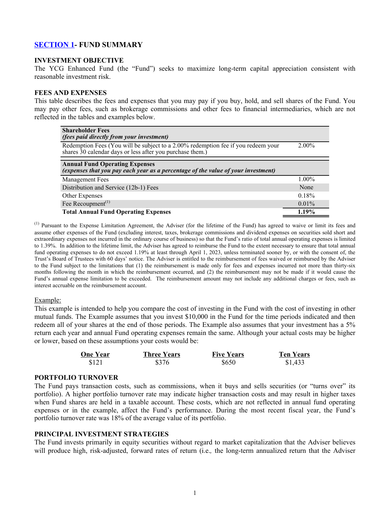# <span id="page-2-0"></span>**SECTION 1- FUND SUMMARY**

#### **INVESTMENT OBJECTIVE**

The YCG Enhanced Fund (the "Fund") seeks to maximize long-term capital appreciation consistent with reasonable investment risk.

#### **FEES AND EXPENSES**

This table describes the fees and expenses that you may pay if you buy, hold, and sell shares of the Fund. You may pay other fees, such as brokerage commissions and other fees to financial intermediaries, which are not reflected in the tables and examples below.

| <b>Shareholder Fees</b><br>(fees paid directly from your investment)                                                                           |          |
|------------------------------------------------------------------------------------------------------------------------------------------------|----------|
| Redemption Fees (You will be subject to a 2.00% redemption fee if you redeem your<br>shares 30 calendar days or less after you purchase them.) | $2.00\%$ |
| <b>Annual Fund Operating Expenses</b><br>(expenses that you pay each year as a percentage of the value of your investment)                     |          |
| Management Fees                                                                                                                                | $1.00\%$ |
| Distribution and Service (12b-1) Fees                                                                                                          | None     |
| Other Expenses                                                                                                                                 | 0.18%    |
| Fee Recoupment <sup><math>(1)</math></sup>                                                                                                     | $0.01\%$ |
| <b>Total Annual Fund Operating Expenses</b>                                                                                                    | 1.19%    |

 $<sup>(1)</sup>$  Pursuant to the Expense Limitation Agreement, the Adviser (for the lifetime of the Fund) has agreed to waive or limit its fees and</sup> assume other expenses of the Fund (excluding interest, taxes, brokerage commissions and dividend expenses on securities sold short and extraordinary expenses not incurred in the ordinary course of business) so that the Fund's ratio of total annual operating expenses is limited to 1.39%. In addition to the lifetime limit, the Adviser has agreed to reimburse the Fund to the extent necessary to ensure that total annual fund operating expenses to do not exceed 1.19% at least through April 1, 2023, unless terminated sooner by, or with the consent of, the Trust's Board of Trustees with 60 days' notice. The Adviser is entitled to the reimbursement of fees waived or reimbursed by the Adviser to the Fund subject to the limitations that (1) the reimbursement is made only for fees and expenses incurred not more than thirty-six months following the month in which the reimbursement occurred, and (2) the reimbursement may not be made if it would cause the Fund's annual expense limitation to be exceeded. The reimbursement amount may not include any additional charges or fees, such as interest accruable on the reimbursement account.

#### Example:

This example is intended to help you compare the cost of investing in the Fund with the cost of investing in other mutual funds. The Example assumes that you invest \$10,000 in the Fund for the time periods indicated and then redeem all of your shares at the end of those periods. The Example also assumes that your investment has a 5% return each year and annual Fund operating expenses remain the same. Although your actual costs may be higher or lower, based on these assumptions your costs would be:

| <b>One Year</b> | <b>Three Years</b> | <b>Five Years</b> | <b>Ten Years</b> |
|-----------------|--------------------|-------------------|------------------|
| \$121           | \$376              | \$650             | \$1,433          |

#### **PORTFOLIO TURNOVER**

The Fund pays transaction costs, such as commissions, when it buys and sells securities (or "turns over" its portfolio). A higher portfolio turnover rate may indicate higher transaction costs and may result in higher taxes when Fund shares are held in a taxable account. These costs, which are not reflected in annual fund operating expenses or in the example, affect the Fund's performance. During the most recent fiscal year, the Fund's portfolio turnover rate was 18% of the average value of its portfolio.

#### **PRINCIPAL INVESTMENT STRATEGIES**

The Fund invests primarily in equity securities without regard to market capitalization that the Adviser believes will produce high, risk-adjusted, forward rates of return (i.e.*,* the long-term annualized return that the Adviser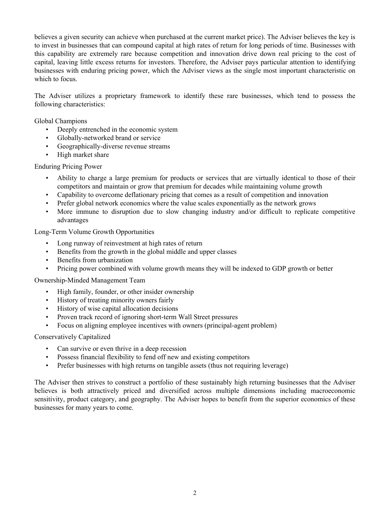believes a given security can achieve when purchased at the current market price). The Adviser believes the key is to invest in businesses that can compound capital at high rates of return for long periods of time. Businesses with this capability are extremely rare because competition and innovation drive down real pricing to the cost of capital, leaving little excess returns for investors. Therefore, the Adviser pays particular attention to identifying businesses with enduring pricing power, which the Adviser views as the single most important characteristic on which to focus.

The Adviser utilizes a proprietary framework to identify these rare businesses, which tend to possess the following characteristics:

Global Champions

- Deeply entrenched in the economic system
- Globally-networked brand or service
- Geographically-diverse revenue streams
- High market share

#### Enduring Pricing Power

- Ability to charge a large premium for products or services that are virtually identical to those of their competitors and maintain or grow that premium for decades while maintaining volume growth
- Capability to overcome deflationary pricing that comes as a result of competition and innovation
- Prefer global network economics where the value scales exponentially as the network grows
- More immune to disruption due to slow changing industry and/or difficult to replicate competitive advantages

Long-Term Volume Growth Opportunities

- Long runway of reinvestment at high rates of return
- Benefits from the growth in the global middle and upper classes
- Benefits from urbanization
- Pricing power combined with volume growth means they will be indexed to GDP growth or better

Ownership-Minded Management Team

- High family, founder, or other insider ownership
- History of treating minority owners fairly
- History of wise capital allocation decisions
- Proven track record of ignoring short-term Wall Street pressures
- Focus on aligning employee incentives with owners (principal-agent problem)

#### Conservatively Capitalized

- Can survive or even thrive in a deep recession
- Possess financial flexibility to fend off new and existing competitors
- Prefer businesses with high returns on tangible assets (thus not requiring leverage)

The Adviser then strives to construct a portfolio of these sustainably high returning businesses that the Adviser believes is both attractively priced and diversified across multiple dimensions including macroeconomic sensitivity, product category, and geography. The Adviser hopes to benefit from the superior economics of these businesses for many years to come.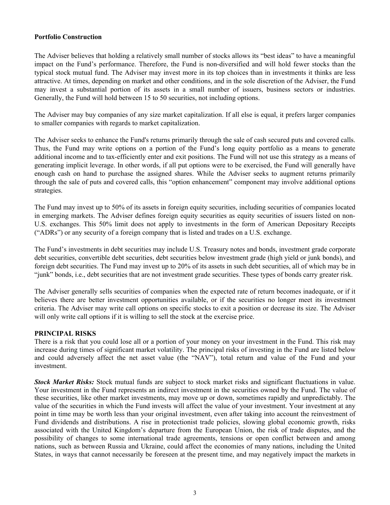#### <span id="page-4-0"></span>**Portfolio Construction**

The Adviser believes that holding a relatively small number of stocks allows its "best ideas" to have a meaningful impact on the Fund's performance. Therefore, the Fund is non-diversified and will hold fewer stocks than the typical stock mutual fund. The Adviser may invest more in its top choices than in investments it thinks are less attractive. At times, depending on market and other conditions, and in the sole discretion of the Adviser, the Fund may invest a substantial portion of its assets in a small number of issuers, business sectors or industries. Generally, the Fund will hold between 15 to 50 securities, not including options.

The Adviser may buy companies of any size market capitalization. If all else is equal, it prefers larger companies to smaller companies with regards to market capitalization.

The Adviser seeks to enhance the Fund's returns primarily through the sale of cash secured puts and covered calls. Thus, the Fund may write options on a portion of the Fund's long equity portfolio as a means to generate additional income and to tax-efficiently enter and exit positions. The Fund will not use this strategy as a means of generating implicit leverage. In other words, if all put options were to be exercised, the Fund will generally have enough cash on hand to purchase the assigned shares. While the Adviser seeks to augment returns primarily through the sale of puts and covered calls, this "option enhancement" component may involve additional options strategies.

The Fund may invest up to 50% of its assets in foreign equity securities, including securities of companies located in emerging markets. The Adviser defines foreign equity securities as equity securities of issuers listed on non-U.S. exchanges. This 50% limit does not apply to investments in the form of American Depositary Receipts ("ADRs") or any security of a foreign company that is listed and trades on a U.S. exchange.

The Fund's investments in debt securities may include U.S. Treasury notes and bonds, investment grade corporate debt securities, convertible debt securities, debt securities below investment grade (high yield or junk bonds), and foreign debt securities. The Fund may invest up to 20% of its assets in such debt securities, all of which may be in "junk" bonds, i.e., debt securities that are not investment grade securities. These types of bonds carry greater risk.

The Adviser generally sells securities of companies when the expected rate of return becomes inadequate, or if it believes there are better investment opportunities available, or if the securities no longer meet its investment criteria. The Adviser may write call options on specific stocks to exit a position or decrease its size. The Adviser will only write call options if it is willing to sell the stock at the exercise price.

#### **PRINCIPAL RISKS**

There is a risk that you could lose all or a portion of your money on your investment in the Fund. This risk may increase during times of significant market volatility. The principal risks of investing in the Fund are listed below and could adversely affect the net asset value (the "NAV"), total return and value of the Fund and your investment.

*Stock Market Risks:* Stock mutual funds are subject to stock market risks and significant fluctuations in value. Your investment in the Fund represents an indirect investment in the securities owned by the Fund. The value of these securities, like other market investments, may move up or down, sometimes rapidly and unpredictably. The value of the securities in which the Fund invests will affect the value of your investment. Your investment at any point in time may be worth less than your original investment, even after taking into account the reinvestment of Fund dividends and distributions. A rise in protectionist trade policies, slowing global economic growth, risks associated with the United Kingdom's departure from the European Union, the risk of trade disputes, and the possibility of changes to some international trade agreements, tensions or open conflict between and among nations, such as between Russia and Ukraine, could affect the economies of many nations, including the United States, in ways that cannot necessarily be foreseen at the present time, and may negatively impact the markets in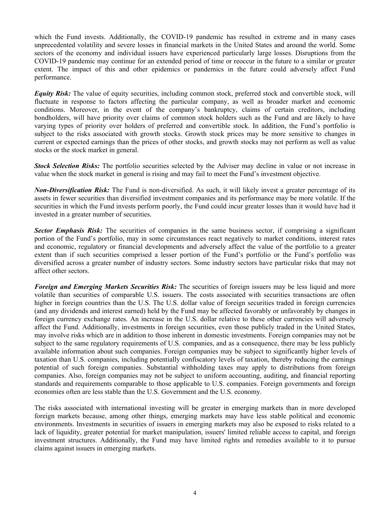which the Fund invests. Additionally, the COVID-19 pandemic has resulted in extreme and in many cases unprecedented volatility and severe losses in financial markets in the United States and around the world. Some sectors of the economy and individual issuers have experienced particularly large losses. Disruptions from the COVID-19 pandemic may continue for an extended period of time or reoccur in the future to a similar or greater extent. The impact of this and other epidemics or pandemics in the future could adversely affect Fund performance.

*Equity Risk:* The value of equity securities, including common stock, preferred stock and convertible stock, will fluctuate in response to factors affecting the particular company, as well as broader market and economic conditions. Moreover, in the event of the company's bankruptcy, claims of certain creditors, including bondholders, will have priority over claims of common stock holders such as the Fund and are likely to have varying types of priority over holders of preferred and convertible stock. In addition, the Fund's portfolio is subject to the risks associated with growth stocks. Growth stock prices may be more sensitive to changes in current or expected earnings than the prices of other stocks, and growth stocks may not perform as well as value stocks or the stock market in general.

*Stock Selection Risks:* The portfolio securities selected by the Adviser may decline in value or not increase in value when the stock market in general is rising and may fail to meet the Fund's investment objective.

*Non-Diversification Risk:* The Fund is non-diversified. As such, it will likely invest a greater percentage of its assets in fewer securities than diversified investment companies and its performance may be more volatile. If the securities in which the Fund invests perform poorly, the Fund could incur greater losses than it would have had it invested in a greater number of securities.

**Sector Emphasis Risk:** The securities of companies in the same business sector, if comprising a significant portion of the Fund's portfolio, may in some circumstances react negatively to market conditions, interest rates and economic, regulatory or financial developments and adversely affect the value of the portfolio to a greater extent than if such securities comprised a lesser portion of the Fund's portfolio or the Fund's portfolio was diversified across a greater number of industry sectors. Some industry sectors have particular risks that may not affect other sectors.

*Foreign and Emerging Markets Securities Risk:* The securities of foreign issuers may be less liquid and more volatile than securities of comparable U.S. issuers. The costs associated with securities transactions are often higher in foreign countries than the U.S. The U.S. dollar value of foreign securities traded in foreign currencies (and any dividends and interest earned) held by the Fund may be affected favorably or unfavorably by changes in foreign currency exchange rates. An increase in the U.S. dollar relative to these other currencies will adversely affect the Fund. Additionally, investments in foreign securities, even those publicly traded in the United States, may involve risks which are in addition to those inherent in domestic investments. Foreign companies may not be subject to the same regulatory requirements of U.S. companies, and as a consequence, there may be less publicly available information about such companies. Foreign companies may be subject to significantly higher levels of taxation than U.S. companies, including potentially confiscatory levels of taxation, thereby reducing the earnings potential of such foreign companies. Substantial withholding taxes may apply to distributions from foreign companies. Also, foreign companies may not be subject to uniform accounting, auditing, and financial reporting standards and requirements comparable to those applicable to U.S. companies. Foreign governments and foreign economies often are less stable than the U.S. Government and the U.S. economy.

The risks associated with international investing will be greater in emerging markets than in more developed foreign markets because, among other things, emerging markets may have less stable political and economic environments. Investments in securities of issuers in emerging markets may also be exposed to risks related to a lack of liquidity, greater potential for market manipulation, issuers' limited reliable access to capital, and foreign investment structures. Additionally, the Fund may have limited rights and remedies available to it to pursue claims against issuers in emerging markets.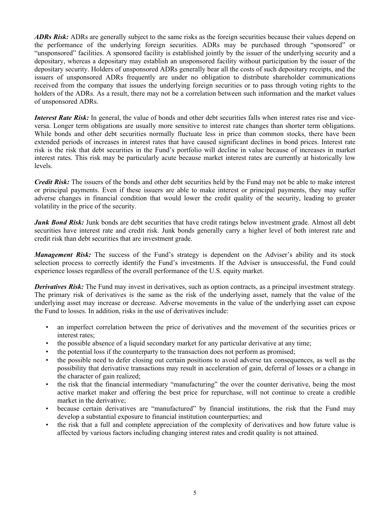*ADRs Risk:* ADRs are generally subject to the same risks as the foreign securities because their values depend on the performance of the underlying foreign securities. ADRs may be purchased through "sponsored" or "unsponsored" facilities. A sponsored facility is established jointly by the issuer of the underlying security and a depositary, whereas a depositary may establish an unsponsored facility without participation by the issuer of the depositary security. Holders of unsponsored ADRs generally bear all the costs of such depositary receipts, and the issuers of unsponsored ADRs frequently are under no obligation to distribute shareholder communications received from the company that issues the underlying foreign securities or to pass through voting rights to the holders of the ADRs. As a result, there may not be a correlation between such information and the market values of unsponsored ADRs.

*Interest Rate Risk:* In general, the value of bonds and other debt securities falls when interest rates rise and viceversa. Longer term obligations are usually more sensitive to interest rate changes than shorter term obligations. While bonds and other debt securities normally fluctuate less in price than common stocks, there have been extended periods of increases in interest rates that have caused significant declines in bond prices. Interest rate risk is the risk that debt securities in the Fund's portfolio will decline in value because of increases in market interest rates. This risk may be particularly acute because market interest rates are currently at historically low levels.

*Credit Risk:* The issuers of the bonds and other debt securities held by the Fund may not be able to make interest or principal payments. Even if these issuers are able to make interest or principal payments, they may suffer adverse changes in financial condition that would lower the credit quality of the security, leading to greater volatility in the price of the security.

*Junk Bond Risk:* Junk bonds are debt securities that have credit ratings below investment grade. Almost all debt securities have interest rate and credit risk. Junk bonds generally carry a higher level of both interest rate and credit risk than debt securities that are investment grade.

*Management Risk:* The success of the Fund's strategy is dependent on the Adviser's ability and its stock selection process to correctly identify the Fund's investments. If the Adviser is unsuccessful, the Fund could experience losses regardless of the overall performance of the U.S. equity market.

*Derivatives Risk:* The Fund may invest in derivatives, such as option contracts, as a principal investment strategy. The primary risk of derivatives is the same as the risk of the underlying asset, namely that the value of the underlying asset may increase or decrease. Adverse movements in the value of the underlying asset can expose the Fund to losses. In addition, risks in the use of derivatives include:

- an imperfect correlation between the price of derivatives and the movement of the securities prices or interest rates;
- the possible absence of a liquid secondary market for any particular derivative at any time;
- the potential loss if the counterparty to the transaction does not perform as promised;
- the possible need to defer closing out certain positions to avoid adverse tax consequences, as well as the possibility that derivative transactions may result in acceleration of gain, deferral of losses or a change in the character of gain realized;
- the risk that the financial intermediary "manufacturing" the over the counter derivative, being the most active market maker and offering the best price for repurchase, will not continue to create a credible market in the derivative;
- because certain derivatives are "manufactured" by financial institutions, the risk that the Fund may develop a substantial exposure to financial institution counterparties; and
- the risk that a full and complete appreciation of the complexity of derivatives and how future value is affected by various factors including changing interest rates and credit quality is not attained.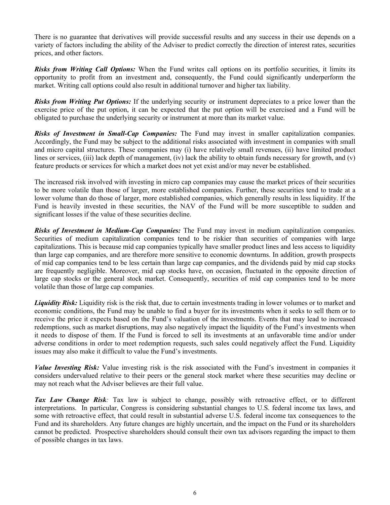There is no guarantee that derivatives will provide successful results and any success in their use depends on a variety of factors including the ability of the Adviser to predict correctly the direction of interest rates, securities prices, and other factors.

*Risks from Writing Call Options:* When the Fund writes call options on its portfolio securities, it limits its opportunity to profit from an investment and, consequently, the Fund could significantly underperform the market. Writing call options could also result in additional turnover and higher tax liability.

*Risks from Writing Put Options:* If the underlying security or instrument depreciates to a price lower than the exercise price of the put option, it can be expected that the put option will be exercised and a Fund will be obligated to purchase the underlying security or instrument at more than its market value.

*Risks of Investment in Small-Cap Companies:* The Fund may invest in smaller capitalization companies. Accordingly, the Fund may be subject to the additional risks associated with investment in companies with small and micro capital structures. These companies may (i) have relatively small revenues, (ii) have limited product lines or services, (iii) lack depth of management, (iv) lack the ability to obtain funds necessary for growth, and (v) feature products or services for which a market does not yet exist and/or may never be established.

The increased risk involved with investing in micro cap companies may cause the market prices of their securities to be more volatile than those of larger, more established companies. Further, these securities tend to trade at a lower volume than do those of larger, more established companies, which generally results in less liquidity. If the Fund is heavily invested in these securities, the NAV of the Fund will be more susceptible to sudden and significant losses if the value of these securities decline.

*Risks of Investment in Medium-Cap Companies:* The Fund may invest in medium capitalization companies. Securities of medium capitalization companies tend to be riskier than securities of companies with large capitalizations. This is because mid cap companies typically have smaller product lines and less access to liquidity than large cap companies, and are therefore more sensitive to economic downturns. In addition, growth prospects of mid cap companies tend to be less certain than large cap companies, and the dividends paid by mid cap stocks are frequently negligible. Moreover, mid cap stocks have, on occasion, fluctuated in the opposite direction of large cap stocks or the general stock market. Consequently, securities of mid cap companies tend to be more volatile than those of large cap companies.

*Liquidity Risk:* Liquidity risk is the risk that, due to certain investments trading in lower volumes or to market and economic conditions, the Fund may be unable to find a buyer for its investments when it seeks to sell them or to receive the price it expects based on the Fund's valuation of the investments. Events that may lead to increased redemptions, such as market disruptions, may also negatively impact the liquidity of the Fund's investments when it needs to dispose of them. If the Fund is forced to sell its investments at an unfavorable time and/or under adverse conditions in order to meet redemption requests, such sales could negatively affect the Fund. Liquidity issues may also make it difficult to value the Fund's investments.

*Value Investing Risk:* Value investing risk is the risk associated with the Fund's investment in companies it considers undervalued relative to their peers or the general stock market where these securities may decline or may not reach what the Adviser believes are their full value.

*Tax Law Change Risk:* Tax law is subject to change, possibly with retroactive effect, or to different interpretations. In particular, Congress is considering substantial changes to U.S. federal income tax laws, and some with retroactive effect, that could result in substantial adverse U.S. federal income tax consequences to the Fund and its shareholders. Any future changes are highly uncertain, and the impact on the Fund or its shareholders cannot be predicted. Prospective shareholders should consult their own tax advisors regarding the impact to them of possible changes in tax laws.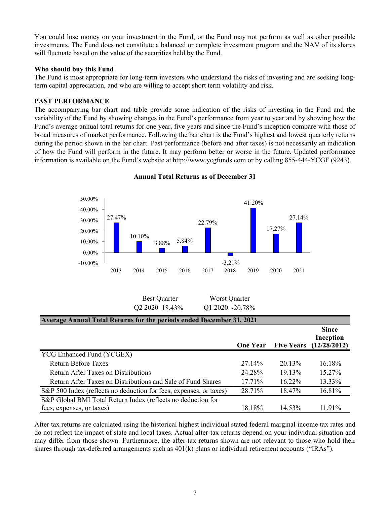<span id="page-8-0"></span>You could lose money on your investment in the Fund, or the Fund may not perform as well as other possible investments. The Fund does not constitute a balanced or complete investment program and the NAV of its shares will fluctuate based on the value of the securities held by the Fund.

#### **Who should buy this Fund**

The Fund is most appropriate for long-term investors who understand the risks of investing and are seeking longterm capital appreciation, and who are willing to accept short term volatility and risk.

# **PAST PERFORMANCE**

The accompanying bar chart and table provide some indication of the risks of investing in the Fund and the variability of the Fund by showing changes in the Fund's performance from year to year and by showing how the Fund's average annual total returns for one year, five years and since the Fund's inception compare with those of broad measures of market performance. Following the bar chart is the Fund's highest and lowest quarterly returns during the period shown in the bar chart. Past performance (before and after taxes) is not necessarily an indication of how the Fund will perform in the future. It may perform better or worse in the future. Updated performance information is available on the Fund's website at http://www.ycgfunds.com or by calling 855-444-YCGF (9243).



**Annual Total Returns as of December 31**

| <b>Best Quarter</b> | Worst Quarter   |
|---------------------|-----------------|
| Q2 2020 18.43%      | Q1 2020 -20.78% |

| Average Annual Total Returns for the periods ended December 31, 2021 |                 |           |                                                             |
|----------------------------------------------------------------------|-----------------|-----------|-------------------------------------------------------------|
|                                                                      | <b>One Year</b> |           | <b>Since</b><br>Inception<br><b>Five Years</b> (12/28/2012) |
| YCG Enhanced Fund (YCGEX)                                            |                 |           |                                                             |
| <b>Return Before Taxes</b>                                           | 27.14%          | $20.13\%$ | $16.18\%$                                                   |
| Return After Taxes on Distributions                                  | 24.28%          | 19.13%    | $15.27\%$                                                   |
| Return After Taxes on Distributions and Sale of Fund Shares          | $17.71\%$       | 16.22%    | 13.33%                                                      |
| S&P 500 Index (reflects no deduction for fees, expenses, or taxes)   | 28.71%          | 18.47%    | 16.81%                                                      |
| S&P Global BMI Total Return Index (reflects no deduction for         |                 |           |                                                             |
| fees, expenses, or taxes)                                            | 18.18%          | $14.53\%$ | 11.91%                                                      |

After tax returns are calculated using the historical highest individual stated federal marginal income tax rates and do not reflect the impact of state and local taxes. Actual after-tax returns depend on your individual situation and may differ from those shown. Furthermore, the after-tax returns shown are not relevant to those who hold their shares through tax-deferred arrangements such as 401(k) plans or individual retirement accounts ("IRAs").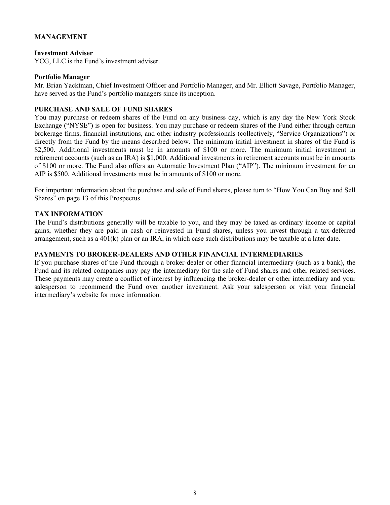# <span id="page-9-0"></span>**MANAGEMENT**

#### **Investment Adviser**

YCG, LLC is the Fund's investment adviser.

#### **Portfolio Manager**

Mr. Brian Yacktman, Chief Investment Officer and Portfolio Manager, and Mr. Elliott Savage, Portfolio Manager, have served as the Fund's portfolio managers since its inception.

#### **PURCHASE AND SALE OF FUND SHARES**

You may purchase or redeem shares of the Fund on any business day, which is any day the New York Stock Exchange ("NYSE") is open for business. You may purchase or redeem shares of the Fund either through certain brokerage firms, financial institutions, and other industry professionals (collectively, "Service Organizations") or directly from the Fund by the means described below. The minimum initial investment in shares of the Fund is \$2,500. Additional investments must be in amounts of \$100 or more. The minimum initial investment in retirement accounts (such as an IRA) is \$1,000. Additional investments in retirement accounts must be in amounts of \$100 or more. The Fund also offers an Automatic Investment Plan ("AIP"). The minimum investment for an AIP is \$500. Additional investments must be in amounts of \$100 or more.

For important information about the purchase and sale of Fund shares, please turn to "How You Can Buy and Sell Shares" on page [13](#page-14-0) of this Prospectus.

#### **TAX INFORMATION**

The Fund's distributions generally will be taxable to you, and they may be taxed as ordinary income or capital gains, whether they are paid in cash or reinvested in Fund shares, unless you invest through a tax-deferred arrangement, such as a 401(k) plan or an IRA, in which case such distributions may be taxable at a later date.

# **PAYMENTS TO BROKER-DEALERS AND OTHER FINANCIAL INTERMEDIARIES**

If you purchase shares of the Fund through a broker-dealer or other financial intermediary (such as a bank), the Fund and its related companies may pay the intermediary for the sale of Fund shares and other related services. These payments may create a conflict of interest by influencing the broker-dealer or other intermediary and your salesperson to recommend the Fund over another investment. Ask your salesperson or visit your financial intermediary's website for more information.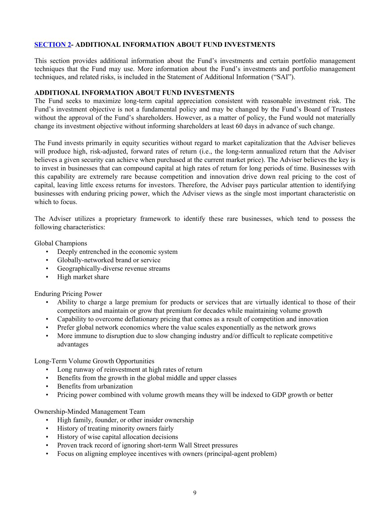# <span id="page-10-0"></span>**SECTION 2- ADDITIONAL INFORMATION ABOUT FUND INVESTMENTS**

This section provides additional information about the Fund's investments and certain portfolio management techniques that the Fund may use. More information about the Fund's investments and portfolio management techniques, and related risks, is included in the Statement of Additional Information ("SAI").

#### **ADDITIONAL INFORMATION ABOUT FUND INVESTMENTS**

The Fund seeks to maximize long-term capital appreciation consistent with reasonable investment risk. The Fund's investment objective is not a fundamental policy and may be changed by the Fund's Board of Trustees without the approval of the Fund's shareholders. However, as a matter of policy, the Fund would not materially change its investment objective without informing shareholders at least 60 days in advance of such change.

The Fund invests primarily in equity securities without regard to market capitalization that the Adviser believes will produce high, risk-adjusted, forward rates of return (i.e., the long-term annualized return that the Adviser believes a given security can achieve when purchased at the current market price). The Adviser believes the key is to invest in businesses that can compound capital at high rates of return for long periods of time. Businesses with this capability are extremely rare because competition and innovation drive down real pricing to the cost of capital, leaving little excess returns for investors. Therefore, the Adviser pays particular attention to identifying businesses with enduring pricing power, which the Adviser views as the single most important characteristic on which to focus.

The Adviser utilizes a proprietary framework to identify these rare businesses, which tend to possess the following characteristics:

Global Champions

- Deeply entrenched in the economic system
- Globally-networked brand or service
- Geographically-diverse revenue streams
- High market share

Enduring Pricing Power

- Ability to charge a large premium for products or services that are virtually identical to those of their competitors and maintain or grow that premium for decades while maintaining volume growth
- Capability to overcome deflationary pricing that comes as a result of competition and innovation
- Prefer global network economics where the value scales exponentially as the network grows
- More immune to disruption due to slow changing industry and/or difficult to replicate competitive advantages

Long-Term Volume Growth Opportunities

- Long runway of reinvestment at high rates of return
- Benefits from the growth in the global middle and upper classes
- Benefits from urbanization
- Pricing power combined with volume growth means they will be indexed to GDP growth or better

Ownership-Minded Management Team

- High family, founder, or other insider ownership
- History of treating minority owners fairly
- History of wise capital allocation decisions
- Proven track record of ignoring short-term Wall Street pressures
- Focus on aligning employee incentives with owners (principal-agent problem)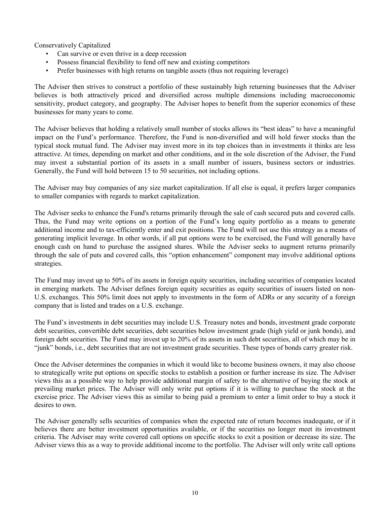Conservatively Capitalized

- Can survive or even thrive in a deep recession
- Possess financial flexibility to fend off new and existing competitors
- Prefer businesses with high returns on tangible assets (thus not requiring leverage)

The Adviser then strives to construct a portfolio of these sustainably high returning businesses that the Adviser believes is both attractively priced and diversified across multiple dimensions including macroeconomic sensitivity, product category, and geography. The Adviser hopes to benefit from the superior economics of these businesses for many years to come.

The Adviser believes that holding a relatively small number of stocks allows its "best ideas" to have a meaningful impact on the Fund's performance. Therefore, the Fund is non-diversified and will hold fewer stocks than the typical stock mutual fund. The Adviser may invest more in its top choices than in investments it thinks are less attractive. At times, depending on market and other conditions, and in the sole discretion of the Adviser, the Fund may invest a substantial portion of its assets in a small number of issuers, business sectors or industries. Generally, the Fund will hold between 15 to 50 securities, not including options.

The Adviser may buy companies of any size market capitalization. If all else is equal, it prefers larger companies to smaller companies with regards to market capitalization.

The Adviser seeks to enhance the Fund's returns primarily through the sale of cash secured puts and covered calls. Thus, the Fund may write options on a portion of the Fund's long equity portfolio as a means to generate additional income and to tax-efficiently enter and exit positions. The Fund will not use this strategy as a means of generating implicit leverage. In other words, if all put options were to be exercised, the Fund will generally have enough cash on hand to purchase the assigned shares. While the Adviser seeks to augment returns primarily through the sale of puts and covered calls, this "option enhancement" component may involve additional options strategies.

The Fund may invest up to 50% of its assets in foreign equity securities, including securities of companies located in emerging markets. The Adviser defines foreign equity securities as equity securities of issuers listed on non-U.S. exchanges. This 50% limit does not apply to investments in the form of ADRs or any security of a foreign company that is listed and trades on a U.S. exchange.

The Fund's investments in debt securities may include U.S. Treasury notes and bonds, investment grade corporate debt securities, convertible debt securities, debt securities below investment grade (high yield or junk bonds), and foreign debt securities. The Fund may invest up to 20% of its assets in such debt securities, all of which may be in "junk" bonds, i.e., debt securities that are not investment grade securities. These types of bonds carry greater risk.

Once the Adviser determines the companies in which it would like to become business owners, it may also choose to strategically write put options on specific stocks to establish a position or further increase its size. The Adviser views this as a possible way to help provide additional margin of safety to the alternative of buying the stock at prevailing market prices. The Adviser will only write put options if it is willing to purchase the stock at the exercise price. The Adviser views this as similar to being paid a premium to enter a limit order to buy a stock it desires to own.

The Adviser generally sells securities of companies when the expected rate of return becomes inadequate, or if it believes there are better investment opportunities available, or if the securities no longer meet its investment criteria. The Adviser may write covered call options on specific stocks to exit a position or decrease its size. The Adviser views this as a way to provide additional income to the portfolio. The Adviser will only write call options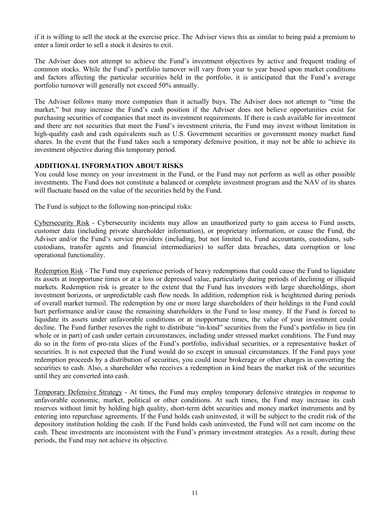<span id="page-12-0"></span>if it is willing to sell the stock at the exercise price. The Adviser views this as similar to being paid a premium to enter a limit order to sell a stock it desires to exit.

The Adviser does not attempt to achieve the Fund's investment objectives by active and frequent trading of common stocks. While the Fund's portfolio turnover will vary from year to year based upon market conditions and factors affecting the particular securities held in the portfolio, it is anticipated that the Fund's average portfolio turnover will generally not exceed 50% annually.

The Adviser follows many more companies than it actually buys. The Adviser does not attempt to "time the market," but may increase the Fund's cash position if the Adviser does not believe opportunities exist for purchasing securities of companies that meet its investment requirements. If there is cash available for investment and there are not securities that meet the Fund's investment criteria, the Fund may invest without limitation in high-quality cash and cash equivalents such as U.S. Government securities or government money market fund shares. In the event that the Fund takes such a temporary defensive position, it may not be able to achieve its investment objective during this temporary period.

#### **ADDITIONAL INFORMATION ABOUT RISKS**

You could lose money on your investment in the Fund, or the Fund may not perform as well as other possible investments. The Fund does not constitute a balanced or complete investment program and the NAV of its shares will fluctuate based on the value of the securities held by the Fund.

The Fund is subject to the following non-principal risks:

Cybersecurity Risk ‑ Cybersecurity incidents may allow an unauthorized party to gain access to Fund assets, customer data (including private shareholder information), or proprietary information, or cause the Fund, the Adviser and/or the Fund's service providers (including, but not limited to, Fund accountants, custodians, subcustodians, transfer agents and financial intermediaries) to suffer data breaches, data corruption or lose operational functionality.

Redemption Risk - The Fund may experience periods of heavy redemptions that could cause the Fund to liquidate its assets at inopportune times or at a loss or depressed value, particularly during periods of declining or illiquid markets. Redemption risk is greater to the extent that the Fund has investors with large shareholdings, short investment horizons, or unpredictable cash flow needs. In addition, redemption risk is heightened during periods of overall market turmoil. The redemption by one or more large shareholders of their holdings in the Fund could hurt performance and/or cause the remaining shareholders in the Fund to lose money. If the Fund is forced to liquidate its assets under unfavorable conditions or at inopportune times, the value of your investment could decline. The Fund further reserves the right to distribute "in-kind" securities from the Fund's portfolio in lieu (in whole or in part) of cash under certain circumstances, including under stressed market conditions. The Fund may do so in the form of pro-rata slices of the Fund's portfolio, individual securities, or a representative basket of securities. It is not expected that the Fund would do so except in unusual circumstances. If the Fund pays your redemption proceeds by a distribution of securities, you could incur brokerage or other charges in converting the securities to cash. Also, a shareholder who receives a redemption in kind bears the market risk of the securities until they are converted into cash.

Temporary Defensive Strategy ‑ At times, the Fund may employ temporary defensive strategies in response to unfavorable economic, market, political or other conditions. At such times, the Fund may increase its cash reserves without limit by holding high quality, short-term debt securities and money market instruments and by entering into repurchase agreements. If the Fund holds cash uninvested, it will be subject to the credit risk of the depository institution holding the cash. If the Fund holds cash uninvested, the Fund will not earn income on the cash. These investments are inconsistent with the Fund's primary investment strategies. As a result, during these periods, the Fund may not achieve its objective.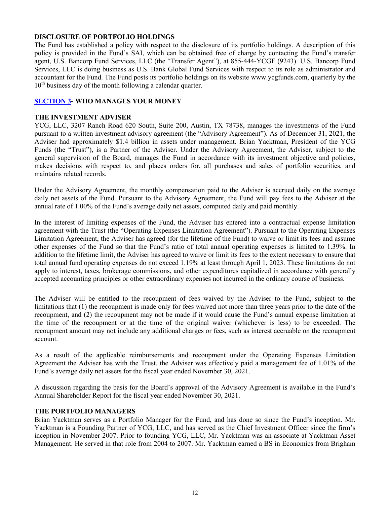### <span id="page-13-0"></span>**DISCLOSURE OF PORTFOLIO HOLDINGS**

The Fund has established a policy with respect to the disclosure of its portfolio holdings. A description of this policy is provided in the Fund's SAI, which can be obtained free of charge by contacting the Fund's transfer agent, U.S. Bancorp Fund Services, LLC (the "Transfer Agent"), at 855-444-YCGF (9243). U.S. Bancorp Fund Services, LLC is doing business as U.S. Bank Global Fund Services with respect to its role as administrator and accountant for the Fund. The Fund posts its portfolio holdings on its website www.ycgfunds.com, quarterly by the  $10<sup>th</sup>$  business day of the month following a calendar quarter.

### **SECTION 3- WHO MANAGES YOUR MONEY**

#### **THE INVESTMENT ADVISER**

YCG, LLC, 3207 Ranch Road 620 South, Suite 200, Austin, TX 78738, manages the investments of the Fund pursuant to a written investment advisory agreement (the "Advisory Agreement"). As of December 31, 2021, the Adviser had approximately \$1.4 billion in assets under management. Brian Yacktman, President of the YCG Funds (the "Trust"), is a Partner of the Adviser. Under the Advisory Agreement, the Adviser, subject to the general supervision of the Board, manages the Fund in accordance with its investment objective and policies, makes decisions with respect to, and places orders for, all purchases and sales of portfolio securities, and maintains related records.

Under the Advisory Agreement, the monthly compensation paid to the Adviser is accrued daily on the average daily net assets of the Fund. Pursuant to the Advisory Agreement, the Fund will pay fees to the Adviser at the annual rate of 1.00% of the Fund's average daily net assets, computed daily and paid monthly.

In the interest of limiting expenses of the Fund, the Adviser has entered into a contractual expense limitation agreement with the Trust (the "Operating Expenses Limitation Agreement"). Pursuant to the Operating Expenses Limitation Agreement, the Adviser has agreed (for the lifetime of the Fund) to waive or limit its fees and assume other expenses of the Fund so that the Fund's ratio of total annual operating expenses is limited to 1.39%. In addition to the lifetime limit, the Adviser has agreed to waive or limit its fees to the extent necessary to ensure that total annual fund operating expenses do not exceed 1.19% at least through April 1, 2023. These limitations do not apply to interest, taxes, brokerage commissions, and other expenditures capitalized in accordance with generally accepted accounting principles or other extraordinary expenses not incurred in the ordinary course of business.

The Adviser will be entitled to the recoupment of fees waived by the Adviser to the Fund, subject to the limitations that (1) the recoupment is made only for fees waived not more than three years prior to the date of the recoupment, and (2) the recoupment may not be made if it would cause the Fund's annual expense limitation at the time of the recoupment or at the time of the original waiver (whichever is less) to be exceeded. The recoupment amount may not include any additional charges or fees, such as interest accruable on the recoupment account.

As a result of the applicable reimbursements and recoupment under the Operating Expenses Limitation Agreement the Adviser has with the Trust, the Adviser was effectively paid a management fee of 1.01% of the Fund's average daily net assets for the fiscal year ended November 30, 2021.

A discussion regarding the basis for the Board's approval of the Advisory Agreement is available in the Fund's Annual Shareholder Report for the fiscal year ended November 30, 2021.

#### **THE PORTFOLIO MANAGERS**

Brian Yacktman serves as a Portfolio Manager for the Fund, and has done so since the Fund's inception. Mr. Yacktman is a Founding Partner of YCG, LLC, and has served as the Chief Investment Officer since the firm's inception in November 2007. Prior to founding YCG, LLC, Mr. Yacktman was an associate at Yacktman Asset Management. He served in that role from 2004 to 2007. Mr. Yacktman earned a BS in Economics from Brigham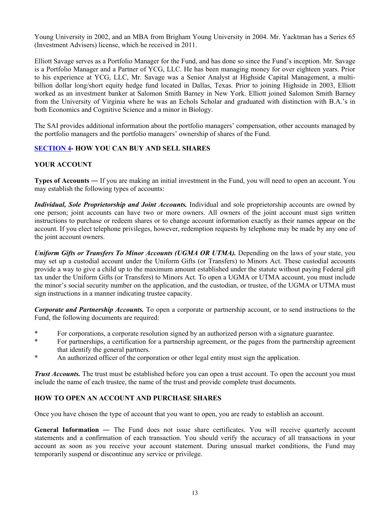<span id="page-14-0"></span>Young University in 2002, and an MBA from Brigham Young University in 2004. Mr. Yacktman has a Series 65 (Investment Advisers) license, which he received in 2011.

Elliott Savage serves as a Portfolio Manager for the Fund, and has done so since the Fund's inception. Mr. Savage is a Portfolio Manager and a Partner of YCG, LLC. He has been managing money for over eighteen years. Prior to his experience at YCG, LLC, Mr. Savage was a Senior Analyst at Highside Capital Management, a multibillion dollar long/short equity hedge fund located in Dallas, Texas. Prior to joining Highside in 2003, Elliott worked as an investment banker at Salomon Smith Barney in New York. Elliott joined Salomon Smith Barney from the University of Virginia where he was an Echols Scholar and graduated with distinction with B.A.'s in both Economics and Cognitive Science and a minor in Biology.

The SAI provides additional information about the portfolio managers' compensation, other accounts managed by the portfolio managers and the portfolio managers' ownership of shares of the Fund.

### **SECTION 4- HOW YOU CAN BUY AND SELL SHARES**

### **YOUR ACCOUNT**

**Types of Accounts** ― If you are making an initial investment in the Fund, you will need to open an account. You may establish the following types of accounts:

*Individual, Sole Proprietorship and Joint Accounts.* Individual and sole proprietorship accounts are owned by one person; joint accounts can have two or more owners. All owners of the joint account must sign written instructions to purchase or redeem shares or to change account information exactly as their names appear on the account. If you elect telephone privileges, however, redemption requests by telephone may be made by any one of the joint account owners.

*Uniform Gifts or Transfers To Minor Accounts (UGMA OR UTMA).* Depending on the laws of your state, you may set up a custodial account under the Uniform Gifts (or Transfers) to Minors Act. These custodial accounts provide a way to give a child up to the maximum amount established under the statute without paying Federal gift tax under the Uniform Gifts (or Transfers) to Minors Act. To open a UGMA or UTMA account, you must include the minor's social security number on the application, and the custodian, or trustee, of the UGMA or UTMA must sign instructions in a manner indicating trustee capacity.

*Corporate and Partnership Accounts.* To open a corporate or partnership account, or to send instructions to the Fund, the following documents are required:

- \* For corporations, a corporate resolution signed by an authorized person with a signature guarantee.<br>As a person performance of contraction for a pertography acrogation for the person the pertography experience
- For partnerships, a certification for a partnership agreement, or the pages from the partnership agreement that identify the general partners.
- \* An authorized officer of the corporation or other legal entity must sign the application.

*Trust Accounts*. The trust must be established before you can open a trust account. To open the account you must include the name of each trustee, the name of the trust and provide complete trust documents.

#### **HOW TO OPEN AN ACCOUNT AND PURCHASE SHARES**

Once you have chosen the type of account that you want to open, you are ready to establish an account.

**General Information** ― The Fund does not issue share certificates. You will receive quarterly account statements and a confirmation of each transaction. You should verify the accuracy of all transactions in your account as soon as you receive your account statement. During unusual market conditions, the Fund may temporarily suspend or discontinue any service or privilege.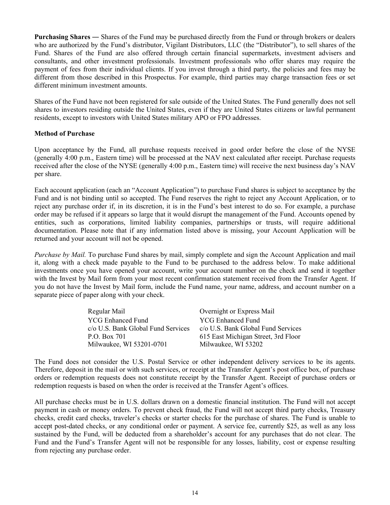**Purchasing Shares** ― Shares of the Fund may be purchased directly from the Fund or through brokers or dealers who are authorized by the Fund's distributor, Vigilant Distributors, LLC (the "Distributor"), to sell shares of the Fund. Shares of the Fund are also offered through certain financial supermarkets, investment advisers and consultants, and other investment professionals. Investment professionals who offer shares may require the payment of fees from their individual clients. If you invest through a third party, the policies and fees may be different from those described in this Prospectus. For example, third parties may charge transaction fees or set different minimum investment amounts.

Shares of the Fund have not been registered for sale outside of the United States. The Fund generally does not sell shares to investors residing outside the United States, even if they are United States citizens or lawful permanent residents, except to investors with United States military APO or FPO addresses.

### **Method of Purchase**

Upon acceptance by the Fund, all purchase requests received in good order before the close of the NYSE (generally 4:00 p.m., Eastern time) will be processed at the NAV next calculated after receipt. Purchase requests received after the close of the NYSE (generally 4:00 p.m., Eastern time) will receive the next business day's NAV per share.

Each account application (each an "Account Application") to purchase Fund shares is subject to acceptance by the Fund and is not binding until so accepted. The Fund reserves the right to reject any Account Application, or to reject any purchase order if, in its discretion, it is in the Fund's best interest to do so. For example, a purchase order may be refused if it appears so large that it would disrupt the management of the Fund. Accounts opened by entities, such as corporations, limited liability companies, partnerships or trusts, will require additional documentation. Please note that if any information listed above is missing, your Account Application will be returned and your account will not be opened.

*Purchase by Mail.* To purchase Fund shares by mail, simply complete and sign the Account Application and mail it, along with a check made payable to the Fund to be purchased to the address below. To make additional investments once you have opened your account, write your account number on the check and send it together with the Invest by Mail form from your most recent confirmation statement received from the Transfer Agent. If you do not have the Invest by Mail form, include the Fund name, your name, address, and account number on a separate piece of paper along with your check.

| Regular Mail                       | Overnight or Express Mail           |
|------------------------------------|-------------------------------------|
| <b>YCG Enhanced Fund</b>           | <b>YCG Enhanced Fund</b>            |
| c/o U.S. Bank Global Fund Services | c/o U.S. Bank Global Fund Services  |
| P.O. Box 701                       | 615 East Michigan Street, 3rd Floor |
| Milwaukee, WI 53201-0701           | Milwaukee, WI 53202                 |

The Fund does not consider the U.S. Postal Service or other independent delivery services to be its agents. Therefore, deposit in the mail or with such services, or receipt at the Transfer Agent's post office box, of purchase orders or redemption requests does not constitute receipt by the Transfer Agent. Receipt of purchase orders or redemption requests is based on when the order is received at the Transfer Agent's offices.

All purchase checks must be in U.S. dollars drawn on a domestic financial institution. The Fund will not accept payment in cash or money orders. To prevent check fraud, the Fund will not accept third party checks, Treasury checks, credit card checks, traveler's checks or starter checks for the purchase of shares. The Fund is unable to accept post-dated checks, or any conditional order or payment. A service fee, currently \$25, as well as any loss sustained by the Fund, will be deducted from a shareholder's account for any purchases that do not clear. The Fund and the Fund's Transfer Agent will not be responsible for any losses, liability, cost or expense resulting from rejecting any purchase order.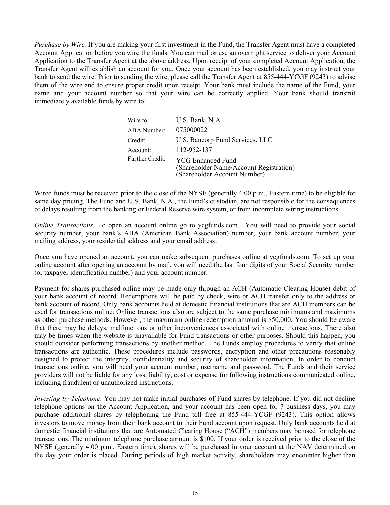*Purchase by Wire.* If you are making your first investment in the Fund, the Transfer Agent must have a completed Account Application before you wire the funds. You can mail or use an overnight service to deliver your Account Application to the Transfer Agent at the above address. Upon receipt of your completed Account Application, the Transfer Agent will establish an account for you. Once your account has been established, you may instruct your bank to send the wire. Prior to sending the wire, please call the Transfer Agent at 855-444-YCGF (9243) to advise them of the wire and to ensure proper credit upon receipt. Your bank must include the name of the Fund, your name and your account number so that your wire can be correctly applied. Your bank should transmit immediately available funds by wire to:

| Wire to:               | U.S. Bank, N.A.                                                                                     |
|------------------------|-----------------------------------------------------------------------------------------------------|
| ABA Number:            | 075000022                                                                                           |
| Credit:                | U.S. Bancorp Fund Services, LLC                                                                     |
| Account:               | 112-952-137                                                                                         |
| <b>Further Credit:</b> | <b>YCG Enhanced Fund</b><br>(Shareholder Name/Account Registration)<br>(Shareholder Account Number) |

Wired funds must be received prior to the close of the NYSE (generally 4:00 p.m., Eastern time) to be eligible for same day pricing. The Fund and U.S. Bank, N.A., the Fund's custodian, are not responsible for the consequences of delays resulting from the banking or Federal Reserve wire system, or from incomplete wiring instructions.

*Online Transactions.* To open an account online go to ycgfunds.com. You will need to provide your social security number, your bank's ABA (American Bank Association) number, your bank account number, your mailing address, your residential address and your email address.

Once you have opened an account, you can make subsequent purchases online at ycgfunds.com. To set up your online account after opening an account by mail, you will need the last four digits of your Social Security number (or taxpayer identification number) and your account number.

Payment for shares purchased online may be made only through an ACH (Automatic Clearing House) debit of your bank account of record. Redemptions will be paid by check, wire or ACH transfer only to the address or bank account of record. Only bank accounts held at domestic financial institutions that are ACH members can be used for transactions online. Online transactions also are subject to the same purchase minimums and maximums as other purchase methods. However, the maximum online redemption amount is \$50,000. You should be aware that there may be delays, malfunctions or other inconveniences associated with online transactions. There also may be times when the website is unavailable for Fund transactions or other purposes. Should this happen, you should consider performing transactions by another method. The Funds employ procedures to verify that online transactions are authentic. These procedures include passwords, encryption and other precautions reasonably designed to protect the integrity, confidentiality and security of shareholder information. In order to conduct transactions online, you will need your account number, username and password. The Funds and their service providers will not be liable for any loss, liability, cost or expense for following instructions communicated online, including fraudulent or unauthorized instructions.

*Investing by Telephone.* You may not make initial purchases of Fund shares by telephone. If you did not decline telephone options on the Account Application, and your account has been open for 7 business days, you may purchase additional shares by telephoning the Fund toll free at 855-444-YCGF (9243). This option allows investors to move money from their bank account to their Fund account upon request. Only bank accounts held at domestic financial institutions that are Automated Clearing House ("ACH") members may be used for telephone transactions. The minimum telephone purchase amount is \$100. If your order is received prior to the close of the NYSE (generally 4:00 p.m., Eastern time), shares will be purchased in your account at the NAV determined on the day your order is placed. During periods of high market activity, shareholders may encounter higher than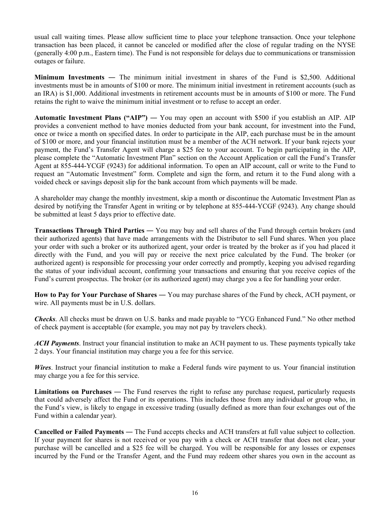usual call waiting times. Please allow sufficient time to place your telephone transaction. Once your telephone transaction has been placed, it cannot be canceled or modified after the close of regular trading on the NYSE (generally 4:00 p.m., Eastern time). The Fund is not responsible for delays due to communications or transmission outages or failure.

**Minimum Investments** ― The minimum initial investment in shares of the Fund is \$2,500. Additional investments must be in amounts of \$100 or more. The minimum initial investment in retirement accounts (such as an IRA) is \$1,000. Additional investments in retirement accounts must be in amounts of \$100 or more. The Fund retains the right to waive the minimum initial investment or to refuse to accept an order.

**Automatic Investment Plans ("AIP")** ― You may open an account with \$500 if you establish an AIP. AIP provides a convenient method to have monies deducted from your bank account, for investment into the Fund, once or twice a month on specified dates. In order to participate in the AIP, each purchase must be in the amount of \$100 or more, and your financial institution must be a member of the ACH network. If your bank rejects your payment, the Fund's Transfer Agent will charge a \$25 fee to your account. To begin participating in the AIP, please complete the "Automatic Investment Plan" section on the Account Application or call the Fund's Transfer Agent at 855-444-YCGF (9243) for additional information. To open an AIP account, call or write to the Fund to request an "Automatic Investment" form. Complete and sign the form, and return it to the Fund along with a voided check or savings deposit slip for the bank account from which payments will be made.

A shareholder may change the monthly investment, skip a month or discontinue the Automatic Investment Plan as desired by notifying the Transfer Agent in writing or by telephone at 855-444-YCGF (9243). Any change should be submitted at least 5 days prior to effective date.

**Transactions Through Third Parties** ― You may buy and sell shares of the Fund through certain brokers (and their authorized agents) that have made arrangements with the Distributor to sell Fund shares. When you place your order with such a broker or its authorized agent, your order is treated by the broker as if you had placed it directly with the Fund, and you will pay or receive the next price calculated by the Fund. The broker (or authorized agent) is responsible for processing your order correctly and promptly, keeping you advised regarding the status of your individual account, confirming your transactions and ensuring that you receive copies of the Fund's current prospectus. The broker (or its authorized agent) may charge you a fee for handling your order.

**How to Pay for Your Purchase of Shares** ― You may purchase shares of the Fund by check, ACH payment, or wire. All payments must be in U.S. dollars.

*Checks*. All checks must be drawn on U.S. banks and made payable to "YCG Enhanced Fund." No other method of check payment is acceptable (for example, you may not pay by travelers check).

*ACH Payments*. Instruct your financial institution to make an ACH payment to us. These payments typically take 2 days. Your financial institution may charge you a fee for this service.

*Wires*. Instruct your financial institution to make a Federal funds wire payment to us. Your financial institution may charge you a fee for this service.

**Limitations on Purchases** ― The Fund reserves the right to refuse any purchase request, particularly requests that could adversely affect the Fund or its operations. This includes those from any individual or group who, in the Fund's view, is likely to engage in excessive trading (usually defined as more than four exchanges out of the Fund within a calendar year).

**Cancelled or Failed Payments** ― The Fund accepts checks and ACH transfers at full value subject to collection. If your payment for shares is not received or you pay with a check or ACH transfer that does not clear, your purchase will be cancelled and a \$25 fee will be charged. You will be responsible for any losses or expenses incurred by the Fund or the Transfer Agent, and the Fund may redeem other shares you own in the account as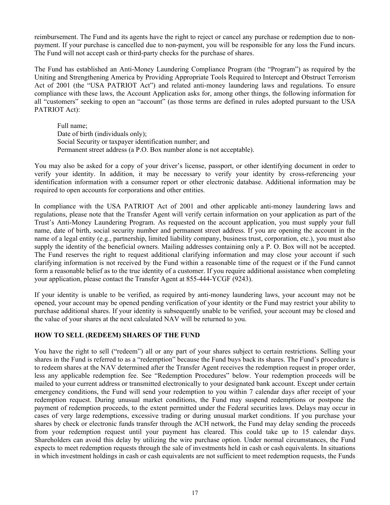<span id="page-18-0"></span>reimbursement. The Fund and its agents have the right to reject or cancel any purchase or redemption due to nonpayment. If your purchase is cancelled due to non-payment, you will be responsible for any loss the Fund incurs. The Fund will not accept cash or third-party checks for the purchase of shares.

The Fund has established an Anti-Money Laundering Compliance Program (the "Program") as required by the Uniting and Strengthening America by Providing Appropriate Tools Required to Intercept and Obstruct Terrorism Act of 2001 (the "USA PATRIOT Act") and related anti-money laundering laws and regulations. To ensure compliance with these laws, the Account Application asks for, among other things, the following information for all "customers" seeking to open an "account" (as those terms are defined in rules adopted pursuant to the USA PATRIOT Act):

Full name; Date of birth (individuals only); Social Security or taxpayer identification number; and Permanent street address (a P.O. Box number alone is not acceptable).

You may also be asked for a copy of your driver's license, passport, or other identifying document in order to verify your identity. In addition, it may be necessary to verify your identity by cross-referencing your identification information with a consumer report or other electronic database. Additional information may be required to open accounts for corporations and other entities.

In compliance with the USA PATRIOT Act of 2001 and other applicable anti-money laundering laws and regulations, please note that the Transfer Agent will verify certain information on your application as part of the Trust's Anti-Money Laundering Program. As requested on the account application, you must supply your full name, date of birth, social security number and permanent street address. If you are opening the account in the name of a legal entity (e.g., partnership, limited liability company, business trust, corporation, etc.), you must also supply the identity of the beneficial owners. Mailing addresses containing only a P. O. Box will not be accepted. The Fund reserves the right to request additional clarifying information and may close your account if such clarifying information is not received by the Fund within a reasonable time of the request or if the Fund cannot form a reasonable belief as to the true identity of a customer. If you require additional assistance when completing your application, please contact the Transfer Agent at 855-444-YCGF (9243).

If your identity is unable to be verified, as required by anti-money laundering laws, your account may not be opened, your account may be opened pending verification of your identity or the Fund may restrict your ability to purchase additional shares. If your identity is subsequently unable to be verified, your account may be closed and the value of your shares at the next calculated NAV will be returned to you.

#### **HOW TO SELL (REDEEM) SHARES OF THE FUND**

You have the right to sell ("redeem") all or any part of your shares subject to certain restrictions. Selling your shares in the Fund is referred to as a "redemption" because the Fund buys back its shares. The Fund's procedure is to redeem shares at the NAV determined after the Transfer Agent receives the redemption request in proper order, less any applicable redemption fee. See "Redemption Procedures" below. Your redemption proceeds will be mailed to your current address or transmitted electronically to your designated bank account. Except under certain emergency conditions, the Fund will send your redemption to you within 7 calendar days after receipt of your redemption request. During unusual market conditions, the Fund may suspend redemptions or postpone the payment of redemption proceeds, to the extent permitted under the Federal securities laws. Delays may occur in cases of very large redemptions, excessive trading or during unusual market conditions. If you purchase your shares by check or electronic funds transfer through the ACH network, the Fund may delay sending the proceeds from your redemption request until your payment has cleared. This could take up to 15 calendar days. Shareholders can avoid this delay by utilizing the wire purchase option. Under normal circumstances, the Fund expects to meet redemption requests through the sale of investments held in cash or cash equivalents. In situations in which investment holdings in cash or cash equivalents are not sufficient to meet redemption requests, the Funds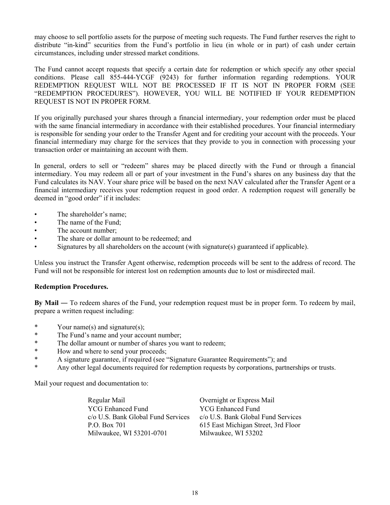may choose to sell portfolio assets for the purpose of meeting such requests. The Fund further reserves the right to distribute "in-kind" securities from the Fund's portfolio in lieu (in whole or in part) of cash under certain circumstances, including under stressed market conditions.

The Fund cannot accept requests that specify a certain date for redemption or which specify any other special conditions. Please call 855-444-YCGF (9243) for further information regarding redemptions. YOUR REDEMPTION REQUEST WILL NOT BE PROCESSED IF IT IS NOT IN PROPER FORM (SEE "REDEMPTION PROCEDURES"). HOWEVER, YOU WILL BE NOTIFIED IF YOUR REDEMPTION REQUEST IS NOT IN PROPER FORM.

If you originally purchased your shares through a financial intermediary, your redemption order must be placed with the same financial intermediary in accordance with their established procedures. Your financial intermediary is responsible for sending your order to the Transfer Agent and for crediting your account with the proceeds. Your financial intermediary may charge for the services that they provide to you in connection with processing your transaction order or maintaining an account with them.

In general, orders to sell or "redeem" shares may be placed directly with the Fund or through a financial intermediary. You may redeem all or part of your investment in the Fund's shares on any business day that the Fund calculates its NAV. Your share price will be based on the next NAV calculated after the Transfer Agent or a financial intermediary receives your redemption request in good order. A redemption request will generally be deemed in "good order" if it includes:

- The shareholder's name;
- The name of the Fund:
- The account number;
- The share or dollar amount to be redeemed; and
- Signatures by all shareholders on the account (with signature(s) guaranteed if applicable).

Unless you instruct the Transfer Agent otherwise, redemption proceeds will be sent to the address of record. The Fund will not be responsible for interest lost on redemption amounts due to lost or misdirected mail.

#### **Redemption Procedures.**

**By Mail** ― To redeem shares of the Fund, your redemption request must be in proper form. To redeem by mail, prepare a written request including:

- \* Your name(s) and signature(s);
- \* The Fund's name and your account number;
- \* The dollar amount or number of shares you want to redeem;<br>\* How and where to send your proceeds:
- How and where to send your proceeds;
- \* A signature guarantee, if required (see "Signature Guarantee Requirements"); and
- \* Any other legal documents required for redemption requests by corporations, partnerships or trusts.

Mail your request and documentation to:

Regular Mail **Overnight or Express Mail** YCG Enhanced Fund c/o U.S. Bank Global Fund Services P.O. Box 701 Milwaukee, WI 53201-0701

YCG Enhanced Fund c/o U.S. Bank Global Fund Services 615 East Michigan Street, 3rd Floor Milwaukee, WI 53202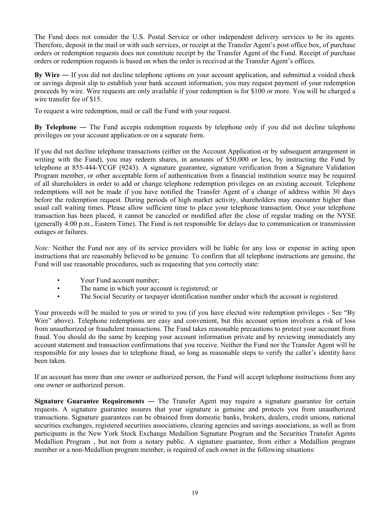The Fund does not consider the U.S. Postal Service or other independent delivery services to be its agents. Therefore, deposit in the mail or with such services, or receipt at the Transfer Agent's post office box, of purchase orders or redemption requests does not constitute receipt by the Transfer Agent of the Fund. Receipt of purchase orders or redemption requests is based on when the order is received at the Transfer Agent's offices.

**By Wire** ― If you did not decline telephone options on your account application, and submitted a voided check or savings deposit slip to establish your bank account information, you may request payment of your redemption proceeds by wire. Wire requests are only available if your redemption is for \$100 or more. You will be charged a wire transfer fee of \$15.

To request a wire redemption, mail or call the Fund with your request.

**By Telephone** ― The Fund accepts redemption requests by telephone only if you did not decline telephone privileges on your account application or on a separate form.

If you did not decline telephone transactions (either on the Account Application or by subsequent arrangement in writing with the Fund), you may redeem shares, in amounts of \$50,000 or less, by instructing the Fund by telephone at 855-444-YCGF (9243). A signature guarantee, signature verification from a Signature Validation Program member, or other acceptable form of authentication from a financial institution source may be required of all shareholders in order to add or change telephone redemption privileges on an existing account. Telephone redemptions will not be made if you have notified the Transfer Agent of a change of address within 30 days before the redemption request. During periods of high market activity, shareholders may encounter higher than usual call waiting times. Please allow sufficient time to place your telephone transaction. Once your telephone transaction has been placed, it cannot be canceled or modified after the close of regular trading on the NYSE (generally 4:00 p.m., Eastern Time). The Fund is not responsible for delays due to communication or transmission outages or failures.

*Note:* Neither the Fund nor any of its service providers will be liable for any loss or expense in acting upon instructions that are reasonably believed to be genuine. To confirm that all telephone instructions are genuine, the Fund will use reasonable procedures, such as requesting that you correctly state:

- Your Fund account number;
- The name in which your account is registered; or
- The Social Security or taxpayer identification number under which the account is registered.

Your proceeds will be mailed to you or wired to you (if you have elected wire redemption privileges - See "By Wire" above). Telephone redemptions are easy and convenient, but this account option involves a risk of loss from unauthorized or fraudulent transactions. The Fund takes reasonable precautions to protect your account from fraud. You should do the same by keeping your account information private and by reviewing immediately any account statement and transaction confirmations that you receive. Neither the Fund nor the Transfer Agent will be responsible for any losses due to telephone fraud, so long as reasonable steps to verify the caller's identity have been taken.

If an account has more than one owner or authorized person, the Fund will accept telephone instructions from any one owner or authorized person.

**Signature Guarantee Requirements** ― The Transfer Agent may require a signature guarantee for certain requests. A signature guarantee assures that your signature is genuine and protects you from unauthorized transactions. Signature guarantees can be obtained from domestic banks, brokers, dealers, credit unions, national securities exchanges, registered securities associations, clearing agencies and savings associations, as well as from participants in the New York Stock Exchange Medallion Signature Program and the Securities Transfer Agents Medallion Program , but not from a notary public. A signature guarantee, from either a Medallion program member or a non-Medallion program member, is required of each owner in the following situations: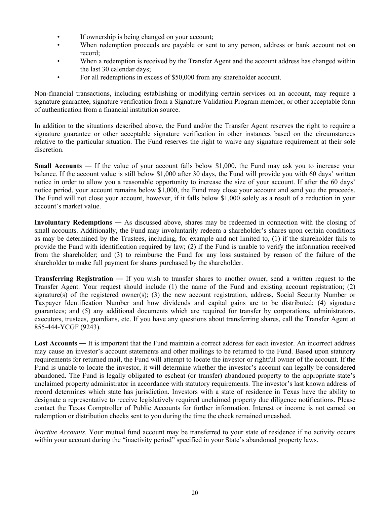- If ownership is being changed on your account:
- When redemption proceeds are payable or sent to any person, address or bank account not on record;
- When a redemption is received by the Transfer Agent and the account address has changed within the last 30 calendar days;
- For all redemptions in excess of \$50,000 from any shareholder account.

Non-financial transactions, including establishing or modifying certain services on an account, may require a signature guarantee, signature verification from a Signature Validation Program member, or other acceptable form of authentication from a financial institution source.

In addition to the situations described above, the Fund and/or the Transfer Agent reserves the right to require a signature guarantee or other acceptable signature verification in other instances based on the circumstances relative to the particular situation. The Fund reserves the right to waive any signature requirement at their sole discretion.

**Small Accounts** — If the value of your account falls below \$1,000, the Fund may ask you to increase your balance. If the account value is still below \$1,000 after 30 days, the Fund will provide you with 60 days' written notice in order to allow you a reasonable opportunity to increase the size of your account. If after the 60 days' notice period, your account remains below \$1,000, the Fund may close your account and send you the proceeds. The Fund will not close your account, however, if it falls below \$1,000 solely as a result of a reduction in your account's market value.

**Involuntary Redemptions** ― As discussed above, shares may be redeemed in connection with the closing of small accounts. Additionally, the Fund may involuntarily redeem a shareholder's shares upon certain conditions as may be determined by the Trustees, including, for example and not limited to, (1) if the shareholder fails to provide the Fund with identification required by law; (2) if the Fund is unable to verify the information received from the shareholder; and (3) to reimburse the Fund for any loss sustained by reason of the failure of the shareholder to make full payment for shares purchased by the shareholder.

**Transferring Registration** — If you wish to transfer shares to another owner, send a written request to the Transfer Agent. Your request should include (1) the name of the Fund and existing account registration; (2) signature(s) of the registered owner(s); (3) the new account registration, address, Social Security Number or Taxpayer Identification Number and how dividends and capital gains are to be distributed; (4) signature guarantees; and (5) any additional documents which are required for transfer by corporations, administrators, executors, trustees, guardians, etc. If you have any questions about transferring shares, call the Transfer Agent at 855-444-YCGF (9243).

**Lost Accounts** ― It is important that the Fund maintain a correct address for each investor. An incorrect address may cause an investor's account statements and other mailings to be returned to the Fund. Based upon statutory requirements for returned mail, the Fund will attempt to locate the investor or rightful owner of the account. If the Fund is unable to locate the investor, it will determine whether the investor's account can legally be considered abandoned. The Fund is legally obligated to escheat (or transfer) abandoned property to the appropriate state's unclaimed property administrator in accordance with statutory requirements. The investor's last known address of record determines which state has jurisdiction. Investors with a state of residence in Texas have the ability to designate a representative to receive legislatively required unclaimed property due diligence notifications. Please contact the Texas Comptroller of Public Accounts for further information. Interest or income is not earned on redemption or distribution checks sent to you during the time the check remained uncashed.

*Inactive Accounts*. Your mutual fund account may be transferred to your state of residence if no activity occurs within your account during the "inactivity period" specified in your State's abandoned property laws.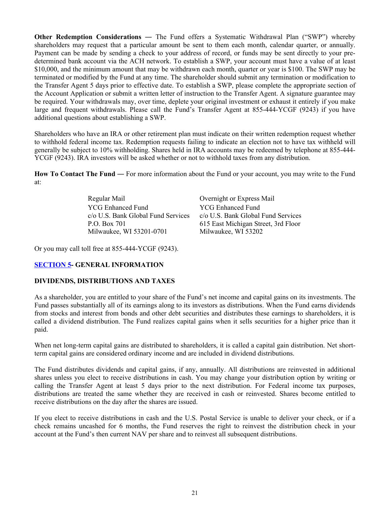<span id="page-22-0"></span>**Other Redemption Considerations** — The Fund offers a Systematic Withdrawal Plan ("SWP") whereby shareholders may request that a particular amount be sent to them each month, calendar quarter, or annually. Payment can be made by sending a check to your address of record, or funds may be sent directly to your predetermined bank account via the ACH network. To establish a SWP, your account must have a value of at least \$10,000, and the minimum amount that may be withdrawn each month, quarter or year is \$100. The SWP may be terminated or modified by the Fund at any time. The shareholder should submit any termination or modification to the Transfer Agent 5 days prior to effective date. To establish a SWP, please complete the appropriate section of the Account Application or submit a written letter of instruction to the Transfer Agent. A signature guarantee may be required. Your withdrawals may, over time, deplete your original investment or exhaust it entirely if you make large and frequent withdrawals. Please call the Fund's Transfer Agent at 855-444-YCGF (9243) if you have additional questions about establishing a SWP.

Shareholders who have an IRA or other retirement plan must indicate on their written redemption request whether to withhold federal income tax. Redemption requests failing to indicate an election not to have tax withheld will generally be subject to 10% withholding. Shares held in IRA accounts may be redeemed by telephone at 855-444- YCGF (9243). IRA investors will be asked whether or not to withhold taxes from any distribution.

**How To Contact The Fund** ― For more information about the Fund or your account, you may write to the Fund at:

> Regular Mail Overnight or Express Mail YCG Enhanced Fund c/o U.S. Bank Global Fund Services P.O. Box 701 Milwaukee, WI 53201-0701

YCG Enhanced Fund c/o U.S. Bank Global Fund Services 615 East Michigan Street, 3rd Floor Milwaukee, WI 53202

Or you may call toll free at 855-444-YCGF (9243).

#### **SECTION 5- GENERAL INFORMATION**

#### **DIVIDENDS, DISTRIBUTIONS AND TAXES**

As a shareholder, you are entitled to your share of the Fund's net income and capital gains on its investments. The Fund passes substantially all of its earnings along to its investors as distributions. When the Fund earns dividends from stocks and interest from bonds and other debt securities and distributes these earnings to shareholders, it is called a dividend distribution. The Fund realizes capital gains when it sells securities for a higher price than it paid.

When net long-term capital gains are distributed to shareholders, it is called a capital gain distribution. Net shortterm capital gains are considered ordinary income and are included in dividend distributions.

The Fund distributes dividends and capital gains, if any, annually. All distributions are reinvested in additional shares unless you elect to receive distributions in cash. You may change your distribution option by writing or calling the Transfer Agent at least 5 days prior to the next distribution. For Federal income tax purposes, distributions are treated the same whether they are received in cash or reinvested. Shares become entitled to receive distributions on the day after the shares are issued.

If you elect to receive distributions in cash and the U.S. Postal Service is unable to deliver your check, or if a check remains uncashed for 6 months, the Fund reserves the right to reinvest the distribution check in your account at the Fund's then current NAV per share and to reinvest all subsequent distributions.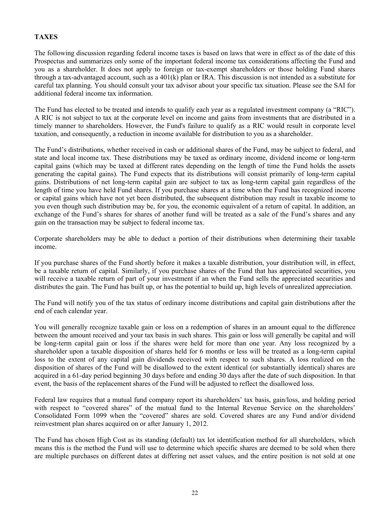# <span id="page-23-0"></span>**TAXES**

The following discussion regarding federal income taxes is based on laws that were in effect as of the date of this Prospectus and summarizes only some of the important federal income tax considerations affecting the Fund and you as a shareholder. It does not apply to foreign or tax-exempt shareholders or those holding Fund shares through a tax-advantaged account, such as a 401(k) plan or IRA. This discussion is not intended as a substitute for careful tax planning. You should consult your tax advisor about your specific tax situation. Please see the SAI for additional federal income tax information.

The Fund has elected to be treated and intends to qualify each year as a regulated investment company (a "RIC"). A RIC is not subject to tax at the corporate level on income and gains from investments that are distributed in a timely manner to shareholders. However, the Fund's failure to qualify as a RIC would result in corporate level taxation, and consequently, a reduction in income available for distribution to you as a shareholder.

The Fund's distributions, whether received in cash or additional shares of the Fund, may be subject to federal, and state and local income tax. These distributions may be taxed as ordinary income, dividend income or long-term capital gains (which may be taxed at different rates depending on the length of time the Fund holds the assets generating the capital gains). The Fund expects that its distributions will consist primarily of long-term capital gains. Distributions of net long-term capital gain are subject to tax as long-term capital gain regardless of the length of time you have held Fund shares. If you purchase shares at a time when the Fund has recognized income or capital gains which have not yet been distributed, the subsequent distribution may result in taxable income to you even though such distribution may be, for you, the economic equivalent of a return of capital. In addition, an exchange of the Fund's shares for shares of another fund will be treated as a sale of the Fund's shares and any gain on the transaction may be subject to federal income tax.

Corporate shareholders may be able to deduct a portion of their distributions when determining their taxable income.

If you purchase shares of the Fund shortly before it makes a taxable distribution, your distribution will, in effect, be a taxable return of capital. Similarly, if you purchase shares of the Fund that has appreciated securities, you will receive a taxable return of part of your investment if an when the Fund sells the appreciated securities and distributes the gain. The Fund has built up, or has the potential to build up, high levels of unrealized appreciation.

The Fund will notify you of the tax status of ordinary income distributions and capital gain distributions after the end of each calendar year.

You will generally recognize taxable gain or loss on a redemption of shares in an amount equal to the difference between the amount received and your tax basis in such shares. This gain or loss will generally be capital and will be long-term capital gain or loss if the shares were held for more than one year. Any loss recognized by a shareholder upon a taxable disposition of shares held for 6 months or less will be treated as a long-term capital loss to the extent of any capital gain dividends received with respect to such shares. A loss realized on the disposition of shares of the Fund will be disallowed to the extent identical (or substantially identical) shares are acquired in a 61-day period beginning 30 days before and ending 30 days after the date of such disposition. In that event, the basis of the replacement shares of the Fund will be adjusted to reflect the disallowed loss.

Federal law requires that a mutual fund company report its shareholders' tax basis, gain/loss, and holding period with respect to "covered shares" of the mutual fund to the Internal Revenue Service on the shareholders' Consolidated Form 1099 when the "covered" shares are sold. Covered shares are any Fund and/or dividend reinvestment plan shares acquired on or after January 1, 2012.

The Fund has chosen High Cost as its standing (default) tax lot identification method for all shareholders, which means this is the method the Fund will use to determine which specific shares are deemed to be sold when there are multiple purchases on different dates at differing net asset values, and the entire position is not sold at one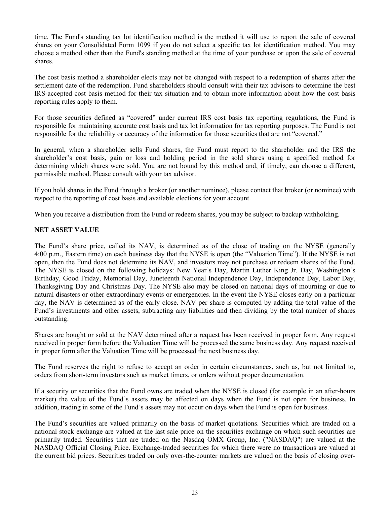<span id="page-24-0"></span>time. The Fund's standing tax lot identification method is the method it will use to report the sale of covered shares on your Consolidated Form 1099 if you do not select a specific tax lot identification method. You may choose a method other than the Fund's standing method at the time of your purchase or upon the sale of covered shares.

The cost basis method a shareholder elects may not be changed with respect to a redemption of shares after the settlement date of the redemption. Fund shareholders should consult with their tax advisors to determine the best IRS-accepted cost basis method for their tax situation and to obtain more information about how the cost basis reporting rules apply to them.

For those securities defined as "covered" under current IRS cost basis tax reporting regulations, the Fund is responsible for maintaining accurate cost basis and tax lot information for tax reporting purposes. The Fund is not responsible for the reliability or accuracy of the information for those securities that are not "covered."

In general, when a shareholder sells Fund shares, the Fund must report to the shareholder and the IRS the shareholder's cost basis, gain or loss and holding period in the sold shares using a specified method for determining which shares were sold. You are not bound by this method and, if timely, can choose a different, permissible method. Please consult with your tax advisor.

If you hold shares in the Fund through a broker (or another nominee), please contact that broker (or nominee) with respect to the reporting of cost basis and available elections for your account.

When you receive a distribution from the Fund or redeem shares, you may be subject to backup withholding.

### **NET ASSET VALUE**

The Fund's share price, called its NAV, is determined as of the close of trading on the NYSE (generally 4:00 p.m., Eastern time) on each business day that the NYSE is open (the "Valuation Time"). If the NYSE is not open, then the Fund does not determine its NAV, and investors may not purchase or redeem shares of the Fund. The NYSE is closed on the following holidays: New Year's Day, Martin Luther King Jr. Day, Washington's Birthday, Good Friday, Memorial Day, Juneteenth National Independence Day, Independence Day, Labor Day, Thanksgiving Day and Christmas Day. The NYSE also may be closed on national days of mourning or due to natural disasters or other extraordinary events or emergencies. In the event the NYSE closes early on a particular day, the NAV is determined as of the early close. NAV per share is computed by adding the total value of the Fund's investments and other assets, subtracting any liabilities and then dividing by the total number of shares outstanding.

Shares are bought or sold at the NAV determined after a request has been received in proper form. Any request received in proper form before the Valuation Time will be processed the same business day. Any request received in proper form after the Valuation Time will be processed the next business day.

The Fund reserves the right to refuse to accept an order in certain circumstances, such as, but not limited to, orders from short-term investors such as market timers, or orders without proper documentation.

If a security or securities that the Fund owns are traded when the NYSE is closed (for example in an after-hours market) the value of the Fund's assets may be affected on days when the Fund is not open for business. In addition, trading in some of the Fund's assets may not occur on days when the Fund is open for business.

The Fund's securities are valued primarily on the basis of market quotations. Securities which are traded on a national stock exchange are valued at the last sale price on the securities exchange on which such securities are primarily traded. Securities that are traded on the Nasdaq OMX Group, Inc. ("NASDAQ") are valued at the NASDAQ Official Closing Price. Exchange-traded securities for which there were no transactions are valued at the current bid prices. Securities traded on only over-the-counter markets are valued on the basis of closing over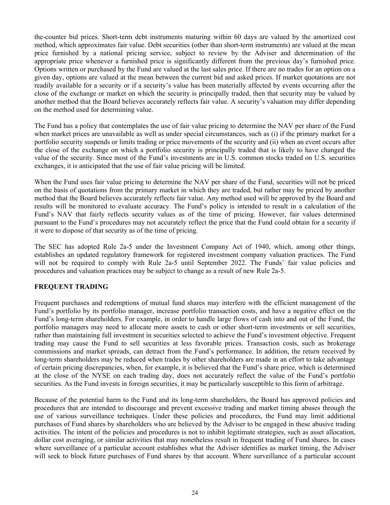<span id="page-25-0"></span>the-counter bid prices. Short-term debt instruments maturing within 60 days are valued by the amortized cost method, which approximates fair value. Debt securities (other than short-term instruments) are valued at the mean price furnished by a national pricing service, subject to review by the Adviser and determination of the appropriate price whenever a furnished price is significantly different from the previous day's furnished price. Options written or purchased by the Fund are valued at the last sales price. If there are no trades for an option on a given day, options are valued at the mean between the current bid and asked prices. If market quotations are not readily available for a security or if a security's value has been materially affected by events occurring after the close of the exchange or market on which the security is principally traded, then that security may be valued by another method that the Board believes accurately reflects fair value. A security's valuation may differ depending on the method used for determining value.

The Fund has a policy that contemplates the use of fair value pricing to determine the NAV per share of the Fund when market prices are unavailable as well as under special circumstances, such as (i) if the primary market for a portfolio security suspends or limits trading or price movements of the security and (ii) when an event occurs after the close of the exchange on which a portfolio security is principally traded that is likely to have changed the value of the security. Since most of the Fund's investments are in U.S. common stocks traded on U.S. securities exchanges, it is anticipated that the use of fair value pricing will be limited.

When the Fund uses fair value pricing to determine the NAV per share of the Fund, securities will not be priced on the basis of quotations from the primary market in which they are traded, but rather may be priced by another method that the Board believes accurately reflects fair value. Any method used will be approved by the Board and results will be monitored to evaluate accuracy. The Fund's policy is intended to result in a calculation of the Fund's NAV that fairly reflects security values as of the time of pricing. However, fair values determined pursuant to the Fund's procedures may not accurately reflect the price that the Fund could obtain for a security if it were to dispose of that security as of the time of pricing.

The SEC has adopted Rule 2a-5 under the Investment Company Act of 1940, which, among other things, establishes an updated regulatory framework for registered investment company valuation practices. The Fund will not be required to comply with Rule 2a-5 until September 2022. The Funds' fair value policies and procedures and valuation practices may be subject to change as a result of new Rule 2a-5.

#### **FREQUENT TRADING**

Frequent purchases and redemptions of mutual fund shares may interfere with the efficient management of the Fund's portfolio by its portfolio manager, increase portfolio transaction costs, and have a negative effect on the Fund's long-term shareholders. For example, in order to handle large flows of cash into and out of the Fund, the portfolio managers may need to allocate more assets to cash or other short-term investments or sell securities, rather than maintaining full investment in securities selected to achieve the Fund's investment objective. Frequent trading may cause the Fund to sell securities at less favorable prices. Transaction costs, such as brokerage commissions and market spreads, can detract from the Fund's performance. In addition, the return received by long-term shareholders may be reduced when trades by other shareholders are made in an effort to take advantage of certain pricing discrepancies, when, for example, it is believed that the Fund's share price, which is determined at the close of the NYSE on each trading day, does not accurately reflect the value of the Fund's portfolio securities. As the Fund invests in foreign securities, it may be particularly susceptible to this form of arbitrage.

Because of the potential harm to the Fund and its long-term shareholders, the Board has approved policies and procedures that are intended to discourage and prevent excessive trading and market timing abuses through the use of various surveillance techniques. Under these policies and procedures, the Fund may limit additional purchases of Fund shares by shareholders who are believed by the Adviser to be engaged in these abusive trading activities. The intent of the policies and procedures is not to inhibit legitimate strategies, such as asset allocation, dollar cost averaging, or similar activities that may nonetheless result in frequent trading of Fund shares. In cases where surveillance of a particular account establishes what the Adviser identifies as market timing, the Adviser will seek to block future purchases of Fund shares by that account. Where surveillance of a particular account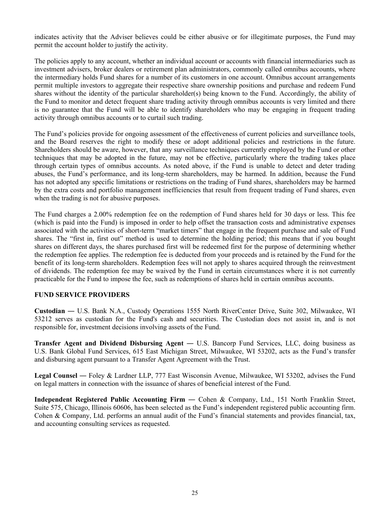<span id="page-26-0"></span>indicates activity that the Adviser believes could be either abusive or for illegitimate purposes, the Fund may permit the account holder to justify the activity.

The policies apply to any account, whether an individual account or accounts with financial intermediaries such as investment advisers, broker dealers or retirement plan administrators, commonly called omnibus accounts, where the intermediary holds Fund shares for a number of its customers in one account. Omnibus account arrangements permit multiple investors to aggregate their respective share ownership positions and purchase and redeem Fund shares without the identity of the particular shareholder(s) being known to the Fund. Accordingly, the ability of the Fund to monitor and detect frequent share trading activity through omnibus accounts is very limited and there is no guarantee that the Fund will be able to identify shareholders who may be engaging in frequent trading activity through omnibus accounts or to curtail such trading.

The Fund's policies provide for ongoing assessment of the effectiveness of current policies and surveillance tools, and the Board reserves the right to modify these or adopt additional policies and restrictions in the future. Shareholders should be aware, however, that any surveillance techniques currently employed by the Fund or other techniques that may be adopted in the future, may not be effective, particularly where the trading takes place through certain types of omnibus accounts. As noted above, if the Fund is unable to detect and deter trading abuses, the Fund's performance, and its long-term shareholders, may be harmed. In addition, because the Fund has not adopted any specific limitations or restrictions on the trading of Fund shares, shareholders may be harmed by the extra costs and portfolio management inefficiencies that result from frequent trading of Fund shares, even when the trading is not for abusive purposes.

The Fund charges a 2.00% redemption fee on the redemption of Fund shares held for 30 days or less. This fee (which is paid into the Fund) is imposed in order to help offset the transaction costs and administrative expenses associated with the activities of short-term "market timers" that engage in the frequent purchase and sale of Fund shares. The "first in, first out" method is used to determine the holding period; this means that if you bought shares on different days, the shares purchased first will be redeemed first for the purpose of determining whether the redemption fee applies. The redemption fee is deducted from your proceeds and is retained by the Fund for the benefit of its long-term shareholders. Redemption fees will not apply to shares acquired through the reinvestment of dividends. The redemption fee may be waived by the Fund in certain circumstances where it is not currently practicable for the Fund to impose the fee, such as redemptions of shares held in certain omnibus accounts.

#### **FUND SERVICE PROVIDERS**

**Custodian** ― U.S. Bank N.A., Custody Operations 1555 North RiverCenter Drive, Suite 302, Milwaukee, WI 53212 serves as custodian for the Fund's cash and securities. The Custodian does not assist in, and is not responsible for, investment decisions involving assets of the Fund.

**Transfer Agent and Dividend Disbursing Agent** ― U.S. Bancorp Fund Services, LLC, doing business as U.S. Bank Global Fund Services, 615 East Michigan Street, Milwaukee, WI 53202, acts as the Fund's transfer and disbursing agent pursuant to a Transfer Agent Agreement with the Trust.

**Legal Counsel** ― Foley & Lardner LLP, 777 East Wisconsin Avenue, Milwaukee, WI 53202, advises the Fund on legal matters in connection with the issuance of shares of beneficial interest of the Fund.

**Independent Registered Public Accounting Firm** ― Cohen & Company, Ltd., 151 North Franklin Street, Suite 575, Chicago, Illinois 60606, has been selected as the Fund's independent registered public accounting firm. Cohen & Company, Ltd. performs an annual audit of the Fund's financial statements and provides financial, tax, and accounting consulting services as requested.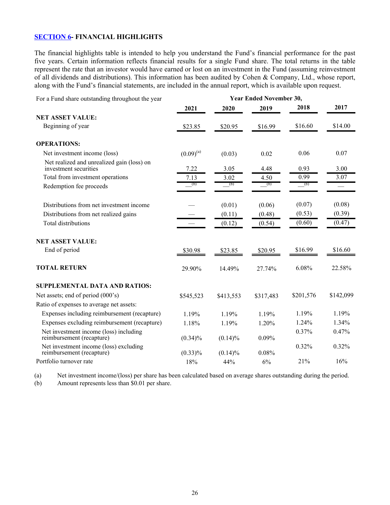# <span id="page-27-0"></span>**SECTION 6- FINANCIAL HIGHLIGHTS**

The financial highlights table is intended to help you understand the Fund's financial performance for the past five years. Certain information reflects financial results for a single Fund share. The total returns in the table represent the rate that an investor would have earned or lost on an investment in the Fund (assuming reinvestment of all dividends and distributions). This information has been audited by Cohen & Company, Ltd., whose report, along with the Fund's financial statements, are included in the annual report, which is available upon request.

| For a Fund share outstanding throughout the year                    |                |            | <b>Year Ended November 30,</b> |           |           |
|---------------------------------------------------------------------|----------------|------------|--------------------------------|-----------|-----------|
|                                                                     | 2021           | 2020       | 2019                           | 2018      | 2017      |
| <b>NET ASSET VALUE:</b>                                             |                |            |                                |           |           |
| Beginning of year                                                   | \$23.85        | \$20.95    | \$16.99                        | \$16.60   | \$14.00   |
| <b>OPERATIONS:</b>                                                  |                |            |                                |           |           |
| Net investment income (loss)                                        | $(0.09)^{(a)}$ | (0.03)     | 0.02                           | 0.06      | 0.07      |
| Net realized and unrealized gain (loss) on<br>investment securities | 7.22           | 3.05       | 4.48                           | 0.93      | 3.00      |
| Total from investment operations                                    | 7.13           | 3.02       | 4.50                           | 0.99      | 3.07      |
| Redemption fee proceeds                                             | (b)            | (b)        | (b)                            | (b)       |           |
| Distributions from net investment income                            |                | (0.01)     | (0.06)                         | (0.07)    | (0.08)    |
| Distributions from net realized gains                               |                | (0.11)     | (0.48)                         | (0.53)    | (0.39)    |
| <b>Total distributions</b>                                          |                | (0.12)     | (0.54)                         | (0.60)    | (0.47)    |
| <b>NET ASSET VALUE:</b>                                             |                |            |                                |           |           |
| End of period                                                       | \$30.98        | \$23.85    | \$20.95                        | \$16.99   | \$16.60   |
| <b>TOTAL RETURN</b>                                                 | 29.90%         | 14.49%     | 27.74%                         | 6.08%     | 22.58%    |
| SUPPLEMENTAL DATA AND RATIOS:                                       |                |            |                                |           |           |
| Net assets; end of period (000's)                                   | \$545,523      | \$413,553  | \$317,483                      | \$201,576 | \$142,099 |
| Ratio of expenses to average net assets:                            |                |            |                                |           |           |
| Expenses including reimbursement (recapture)                        | 1.19%          | 1.19%      | 1.19%                          | 1.19%     | 1.19%     |
| Expenses excluding reimbursement (recapture)                        | 1.18%          | 1.19%      | 1.20%                          | 1.24%     | 1.34%     |
| Net investment income (loss) including<br>reimbursement (recapture) | $(0.34)\%$     | $(0.14)\%$ | 0.09%                          | 0.37%     | 0.47%     |
| Net investment income (loss) excluding<br>reimbursement (recapture) | $(0.33)\%$     | $(0.14)\%$ | 0.08%                          | 0.32%     | 0.32%     |
| Portfolio turnover rate                                             | 18%            | 44%        | 6%                             | 21%       | 16%       |

(a) Net investment income/(loss) per share has been calculated based on average shares outstanding during the period.

(b) Amount represents less than \$0.01 per share.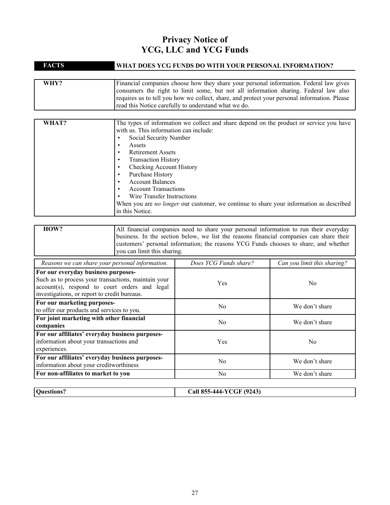# **Privacy Notice of YCG, LLC and YCG Funds**

| <b>FACTS</b> | WHAT DOES YCG FUNDS DO WITH YOUR PERSONAL INFORMATION?                                                                                                                                                                                                                                                                                                                                                                                                                                                                      |  |
|--------------|-----------------------------------------------------------------------------------------------------------------------------------------------------------------------------------------------------------------------------------------------------------------------------------------------------------------------------------------------------------------------------------------------------------------------------------------------------------------------------------------------------------------------------|--|
|              |                                                                                                                                                                                                                                                                                                                                                                                                                                                                                                                             |  |
| WHY?         | Financial companies choose how they share your personal information. Federal law gives<br>consumers the right to limit some, but not all information sharing. Federal law also<br>requires us to tell you how we collect, share, and protect your personal information. Please<br>read this Notice carefully to understand what we do.                                                                                                                                                                                      |  |
|              |                                                                                                                                                                                                                                                                                                                                                                                                                                                                                                                             |  |
| WHAT?        | The types of information we collect and share depend on the product or service you have<br>with us. This information can include:<br>Social Security Number<br>Assets<br>٠<br><b>Retirement Assets</b><br>$\bullet$<br><b>Transaction History</b><br>٠<br>Checking Account History<br>٠<br>Purchase History<br>٠<br><b>Account Balances</b><br>٠<br><b>Account Transactions</b><br>Wire Transfer Instructions<br>When you are no longer our customer, we continue to share your information as described<br>in this Notice. |  |

| HOW? | All financial companies need to share your personal information to run their everyday   |
|------|-----------------------------------------------------------------------------------------|
|      | business. In the section below, we list the reasons financial companies can share their |
|      | customers' personal information; the reasons YCG Funds chooses to share; and whether    |
|      | vou can limit this sharing.                                                             |

| Reasons we can share your personal information.                                                                                                                                             | Does YCG Funds share? | Can you limit this sharing? |
|---------------------------------------------------------------------------------------------------------------------------------------------------------------------------------------------|-----------------------|-----------------------------|
| For our everyday business purposes-<br>Such as to process your transactions, maintain your<br>account(s), respond to court orders and legal<br>investigations, or report to credit bureaus. | <b>Yes</b>            | N <sub>0</sub>              |
| For our marketing purposes-<br>to offer our products and services to you.                                                                                                                   | N <sub>0</sub>        | We don't share              |
| For joint marketing with other financial<br>companies                                                                                                                                       | N <sub>0</sub>        | We don't share              |
| For our affiliates' everyday business purposes-<br>information about your transactions and<br>experiences.                                                                                  | <b>Yes</b>            | N <sub>0</sub>              |
| For our affiliates' everyday business purposes-<br>information about your creditworthiness                                                                                                  | N <sub>0</sub>        | We don't share              |
| For non-affiliates to market to you                                                                                                                                                         | No.                   | We don't share              |

| Ouestions? | <b>Call 855-444-YCGF (9243)</b><br>ິ<br>$  -$<br>__ |
|------------|-----------------------------------------------------|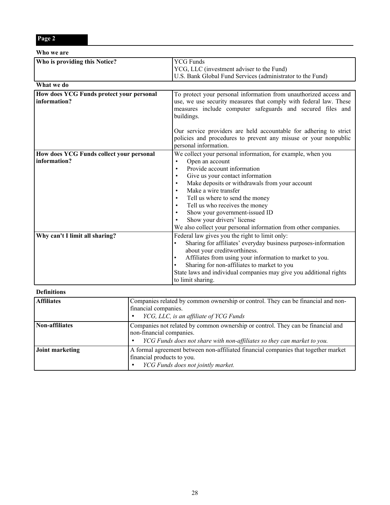|--|--|--|--|--|

| Who we are                                               |                                                                                                                                                                                                                                                                                                                                                                                                                                                                                         |  |
|----------------------------------------------------------|-----------------------------------------------------------------------------------------------------------------------------------------------------------------------------------------------------------------------------------------------------------------------------------------------------------------------------------------------------------------------------------------------------------------------------------------------------------------------------------------|--|
| Who is providing this Notice?                            | <b>YCG Funds</b><br>YCG, LLC (investment adviser to the Fund)<br>U.S. Bank Global Fund Services (administrator to the Fund)                                                                                                                                                                                                                                                                                                                                                             |  |
| What we do                                               |                                                                                                                                                                                                                                                                                                                                                                                                                                                                                         |  |
| How does YCG Funds protect your personal<br>information? | To protect your personal information from unauthorized access and<br>use, we use security measures that comply with federal law. These<br>measures include computer safeguards and secured files and<br>buildings.                                                                                                                                                                                                                                                                      |  |
|                                                          | Our service providers are held accountable for adhering to strict<br>policies and procedures to prevent any misuse or your nonpublic<br>personal information.                                                                                                                                                                                                                                                                                                                           |  |
| How does YCG Funds collect your personal<br>information? | We collect your personal information, for example, when you<br>Open an account<br>$\bullet$<br>Provide account information<br>Give us your contact information<br>$\bullet$<br>Make deposits or withdrawals from your account<br>$\bullet$<br>Make a wire transfer<br>Tell us where to send the money<br>Tell us who receives the money<br>$\bullet$<br>Show your government-issued ID<br>Show your drivers' license<br>We also collect your personal information from other companies. |  |
| Why can't I limit all sharing?                           | Federal law gives you the right to limit only:<br>Sharing for affiliates' everyday business purposes-information<br>about your creditworthiness.<br>Affiliates from using your information to market to you.<br>Sharing for non-affiliates to market to you<br>State laws and individual companies may give you additional rights<br>to limit sharing.                                                                                                                                  |  |

#### **Definitions**

| <b>Affiliates</b> | Companies related by common ownership or control. They can be financial and non-<br>financial companies.<br>YCG, LLC, is an affiliate of YCG Funds                                     |
|-------------------|----------------------------------------------------------------------------------------------------------------------------------------------------------------------------------------|
| Non-affiliates    | Companies not related by common ownership or control. They can be financial and<br>non-financial companies.<br>YCG Funds does not share with non-affiliates so they can market to you. |
| Joint marketing   | A formal agreement between non-affiliated financial companies that together market<br>financial products to you.<br>YCG Funds does not jointly market.                                 |